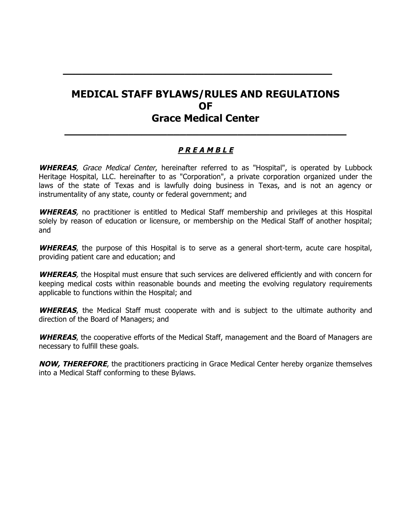# **MEDICAL STAFF BYLAWS/RULES AND REGULATIONS OF Grace Medical Center**

**\_\_\_\_\_\_\_\_\_\_\_\_\_\_\_\_\_\_\_\_\_\_\_\_\_\_\_\_\_\_\_\_\_\_\_\_\_\_\_\_\_\_**

# **P R E A M B L E**

**\_\_\_\_\_\_\_\_\_\_\_\_\_\_\_\_\_\_\_\_\_\_\_\_\_\_\_\_\_\_\_\_\_\_\_\_\_\_\_\_\_\_\_\_**

**WHEREAS**, Grace Medical Center, hereinafter referred to as "Hospital", is operated by Lubbock Heritage Hospital, LLC. hereinafter to as "Corporation", a private corporation organized under the laws of the state of Texas and is lawfully doing business in Texas, and is not an agency or instrumentality of any state, county or federal government; and

**WHEREAS**, no practitioner is entitled to Medical Staff membership and privileges at this Hospital solely by reason of education or licensure, or membership on the Medical Staff of another hospital; and

**WHEREAS**, the purpose of this Hospital is to serve as a general short-term, acute care hospital, providing patient care and education; and

**WHEREAS**, the Hospital must ensure that such services are delivered efficiently and with concern for keeping medical costs within reasonable bounds and meeting the evolving regulatory requirements applicable to functions within the Hospital; and

WHEREAS, the Medical Staff must cooperate with and is subject to the ultimate authority and direction of the Board of Managers; and

**WHEREAS**, the cooperative efforts of the Medical Staff, management and the Board of Managers are necessary to fulfill these goals.

**NOW, THEREFORE**, the practitioners practicing in Grace Medical Center hereby organize themselves into a Medical Staff conforming to these Bylaws.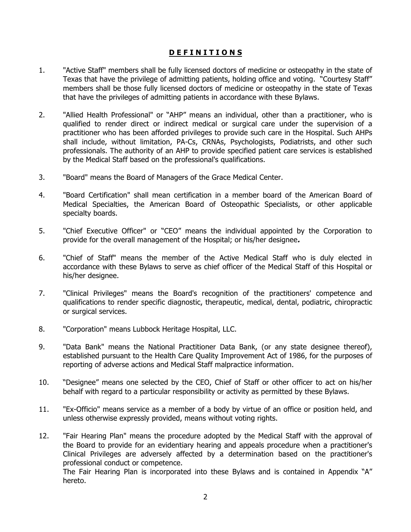#### **D E F I N I T I O N S**

- 1. "Active Staff" members shall be fully licensed doctors of medicine or osteopathy in the state of Texas that have the privilege of admitting patients, holding office and voting. "Courtesy Staff" members shall be those fully licensed doctors of medicine or osteopathy in the state of Texas that have the privileges of admitting patients in accordance with these Bylaws.
- 2. "Allied Health Professional" or "AHP" means an individual, other than a practitioner, who is qualified to render direct or indirect medical or surgical care under the supervision of a practitioner who has been afforded privileges to provide such care in the Hospital. Such AHPs shall include, without limitation, PA-Cs, CRNAs, Psychologists, Podiatrists, and other such professionals. The authority of an AHP to provide specified patient care services is established by the Medical Staff based on the professional's qualifications.
- 3. "Board" means the Board of Managers of the Grace Medical Center.
- 4. "Board Certification" shall mean certification in a member board of the American Board of Medical Specialties, the American Board of Osteopathic Specialists, or other applicable specialty boards.
- 5. "Chief Executive Officer" or "CEO" means the individual appointed by the Corporation to provide for the overall management of the Hospital; or his/her designee**.**
- 6. "Chief of Staff" means the member of the Active Medical Staff who is duly elected in accordance with these Bylaws to serve as chief officer of the Medical Staff of this Hospital or his/her designee.
- 7. "Clinical Privileges" means the Board's recognition of the practitioners' competence and qualifications to render specific diagnostic, therapeutic, medical, dental, podiatric, chiropractic or surgical services.
- 8. "Corporation" means Lubbock Heritage Hospital, LLC.
- 9. "Data Bank" means the National Practitioner Data Bank, (or any state designee thereof), established pursuant to the Health Care Quality Improvement Act of 1986, for the purposes of reporting of adverse actions and Medical Staff malpractice information.
- 10. "Designee" means one selected by the CEO, Chief of Staff or other officer to act on his/her behalf with regard to a particular responsibility or activity as permitted by these Bylaws.
- 11. "Ex-Officio" means service as a member of a body by virtue of an office or position held, and unless otherwise expressly provided, means without voting rights.
- 12. "Fair Hearing Plan" means the procedure adopted by the Medical Staff with the approval of the Board to provide for an evidentiary hearing and appeals procedure when a practitioner's Clinical Privileges are adversely affected by a determination based on the practitioner's professional conduct or competence. The Fair Hearing Plan is incorporated into these Bylaws and is contained in Appendix "A"

hereto.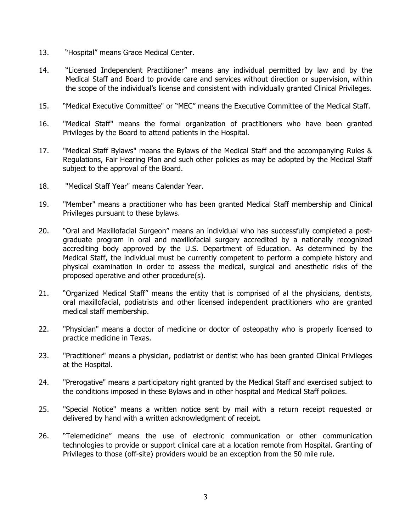- 13. "Hospital" means Grace Medical Center.
- 14. "Licensed Independent Practitioner" means any individual permitted by law and by the Medical Staff and Board to provide care and services without direction or supervision, within the scope of the individual's license and consistent with individually granted Clinical Privileges.
- 15. "Medical Executive Committee" or "MEC" means the Executive Committee of the Medical Staff.
- 16. "Medical Staff" means the formal organization of practitioners who have been granted Privileges by the Board to attend patients in the Hospital.
- 17. "Medical Staff Bylaws" means the Bylaws of the Medical Staff and the accompanying Rules & Regulations, Fair Hearing Plan and such other policies as may be adopted by the Medical Staff subject to the approval of the Board.
- 18. "Medical Staff Year" means Calendar Year.
- 19. "Member" means a practitioner who has been granted Medical Staff membership and Clinical Privileges pursuant to these bylaws.
- 20. "Oral and Maxillofacial Surgeon" means an individual who has successfully completed a postgraduate program in oral and maxillofacial surgery accredited by a nationally recognized accrediting body approved by the U.S. Department of Education. As determined by the Medical Staff, the individual must be currently competent to perform a complete history and physical examination in order to assess the medical, surgical and anesthetic risks of the proposed operative and other procedure(s).
- 21. "Organized Medical Staff" means the entity that is comprised of al the physicians, dentists, oral maxillofacial, podiatrists and other licensed independent practitioners who are granted medical staff membership.
- 22. "Physician" means a doctor of medicine or doctor of osteopathy who is properly licensed to practice medicine in Texas.
- 23. "Practitioner" means a physician, podiatrist or dentist who has been granted Clinical Privileges at the Hospital.
- 24. "Prerogative" means a participatory right granted by the Medical Staff and exercised subject to the conditions imposed in these Bylaws and in other hospital and Medical Staff policies.
- 25. "Special Notice" means a written notice sent by mail with a return receipt requested or delivered by hand with a written acknowledgment of receipt.
- 26. "Telemedicine" means the use of electronic communication or other communication technologies to provide or support clinical care at a location remote from Hospital. Granting of Privileges to those (off-site) providers would be an exception from the 50 mile rule.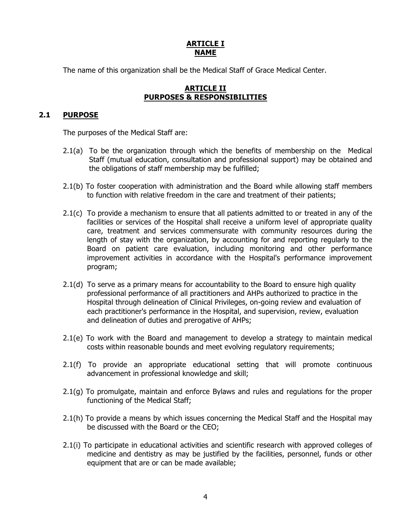### **ARTICLE I NAME**

The name of this organization shall be the Medical Staff of Grace Medical Center.

#### **ARTICLE II PURPOSES & RESPONSIBILITIES**

# **2.1 PURPOSE**

The purposes of the Medical Staff are:

- 2.1(a) To be the organization through which the benefits of membership on the Medical Staff (mutual education, consultation and professional support) may be obtained and the obligations of staff membership may be fulfilled;
- 2.1(b) To foster cooperation with administration and the Board while allowing staff members to function with relative freedom in the care and treatment of their patients;
- 2.1(c) To provide a mechanism to ensure that all patients admitted to or treated in any of the facilities or services of the Hospital shall receive a uniform level of appropriate quality care, treatment and services commensurate with community resources during the length of stay with the organization, by accounting for and reporting regularly to the Board on patient care evaluation, including monitoring and other performance improvement activities in accordance with the Hospital's performance improvement program;
- 2.1(d) To serve as a primary means for accountability to the Board to ensure high quality professional performance of all practitioners and AHPs authorized to practice in the Hospital through delineation of Clinical Privileges, on-going review and evaluation of each practitioner's performance in the Hospital, and supervision, review, evaluation and delineation of duties and prerogative of AHPs;
- 2.1(e) To work with the Board and management to develop a strategy to maintain medical costs within reasonable bounds and meet evolving regulatory requirements;
- 2.1(f) To provide an appropriate educational setting that will promote continuous advancement in professional knowledge and skill;
- 2.1(g) To promulgate, maintain and enforce Bylaws and rules and regulations for the proper functioning of the Medical Staff;
- 2.1(h) To provide a means by which issues concerning the Medical Staff and the Hospital may be discussed with the Board or the CEO;
- 2.1(i) To participate in educational activities and scientific research with approved colleges of medicine and dentistry as may be justified by the facilities, personnel, funds or other equipment that are or can be made available;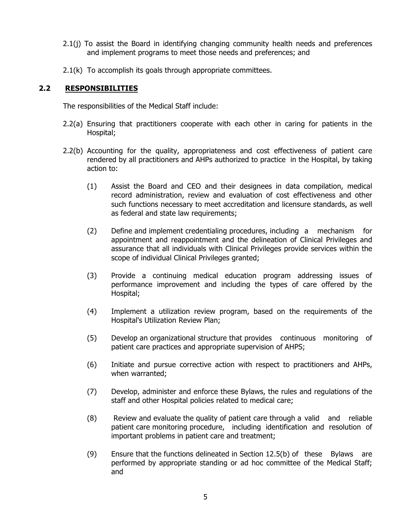- 2.1(j) To assist the Board in identifying changing community health needs and preferences and implement programs to meet those needs and preferences; and
- 2.1(k) To accomplish its goals through appropriate committees.

#### **2.2 RESPONSIBILITIES**

The responsibilities of the Medical Staff include:

- 2.2(a) Ensuring that practitioners cooperate with each other in caring for patients in the Hospital;
- 2.2(b) Accounting for the quality, appropriateness and cost effectiveness of patient care rendered by all practitioners and AHPs authorized to practice in the Hospital, by taking action to:
	- (1) Assist the Board and CEO and their designees in data compilation, medical record administration, review and evaluation of cost effectiveness and other such functions necessary to meet accreditation and licensure standards, as well as federal and state law requirements;
	- (2) Define and implement credentialing procedures, including a mechanism for appointment and reappointment and the delineation of Clinical Privileges and assurance that all individuals with Clinical Privileges provide services within the scope of individual Clinical Privileges granted;
	- (3) Provide a continuing medical education program addressing issues of performance improvement and including the types of care offered by the Hospital;
	- (4) Implement a utilization review program, based on the requirements of the Hospital's Utilization Review Plan;
	- (5) Develop an organizational structure that provides continuous monitoring of patient care practices and appropriate supervision of AHPS;
	- (6) Initiate and pursue corrective action with respect to practitioners and AHPs, when warranted;
	- (7) Develop, administer and enforce these Bylaws, the rules and regulations of the staff and other Hospital policies related to medical care;
	- (8) Review and evaluate the quality of patient care through a valid and reliable patient care monitoring procedure, including identification and resolution of important problems in patient care and treatment;
	- (9) Ensure that the functions delineated in Section 12.5(b) of these Bylaws are performed by appropriate standing or ad hoc committee of the Medical Staff; and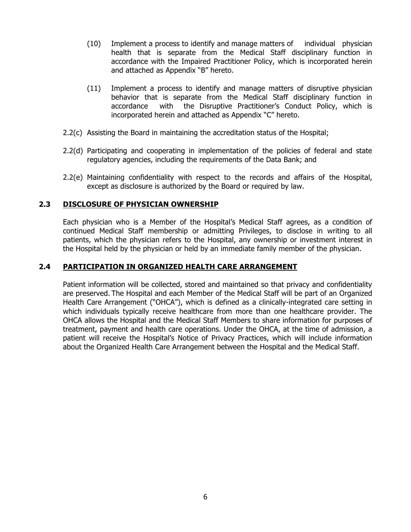- (10) Implement a process to identify and manage matters of individual physician health that is separate from the Medical Staff disciplinary function in accordance with the Impaired Practitioner Policy, which is incorporated herein and attached as Appendix "B" hereto.
- (11) Implement a process to identify and manage matters of disruptive physician behavior that is separate from the Medical Staff disciplinary function in accordance with the Disruptive Practitioner's Conduct Policy, which is incorporated herein and attached as Appendix "C" hereto.
- 2.2(c) Assisting the Board in maintaining the accreditation status of the Hospital;
- 2.2(d) Participating and cooperating in implementation of the policies of federal and state regulatory agencies, including the requirements of the Data Bank; and
- 2.2(e) Maintaining confidentiality with respect to the records and affairs of the Hospital, except as disclosure is authorized by the Board or required by law.

### **2.3 DISCLOSURE OF PHYSICIAN OWNERSHIP**

Each physician who is a Member of the Hospital's Medical Staff agrees, as a condition of continued Medical Staff membership or admitting Privileges, to disclose in writing to all patients, which the physician refers to the Hospital, any ownership or investment interest in the Hospital held by the physician or held by an immediate family member of the physician.

#### **2.4 PARTICIPATION IN ORGANIZED HEALTH CARE ARRANGEMENT**

Patient information will be collected, stored and maintained so that privacy and confidentiality are preserved. The Hospital and each Member of the Medical Staff will be part of an Organized Health Care Arrangement ("OHCA"), which is defined as a clinically-integrated care setting in which individuals typically receive healthcare from more than one healthcare provider. The OHCA allows the Hospital and the Medical Staff Members to share information for purposes of treatment, payment and health care operations. Under the OHCA, at the time of admission, a patient will receive the Hospital's Notice of Privacy Practices, which will include information about the Organized Health Care Arrangement between the Hospital and the Medical Staff.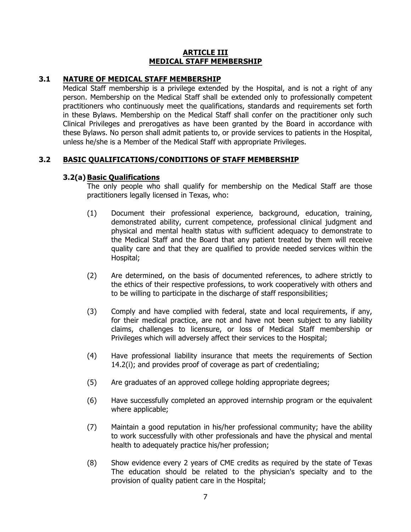#### **ARTICLE III MEDICAL STAFF MEMBERSHIP**

### **3.1 NATURE OF MEDICAL STAFF MEMBERSHIP**

Medical Staff membership is a privilege extended by the Hospital, and is not a right of any person. Membership on the Medical Staff shall be extended only to professionally competent practitioners who continuously meet the qualifications, standards and requirements set forth in these Bylaws. Membership on the Medical Staff shall confer on the practitioner only such Clinical Privileges and prerogatives as have been granted by the Board in accordance with these Bylaws. No person shall admit patients to, or provide services to patients in the Hospital, unless he/she is a Member of the Medical Staff with appropriate Privileges.

### **3.2 BASIC QUALIFICATIONS/CONDITIONS OF STAFF MEMBERSHIP**

### **3.2(a) Basic Qualifications**

The only people who shall qualify for membership on the Medical Staff are those practitioners legally licensed in Texas, who:

- (1) Document their professional experience, background, education, training, demonstrated ability, current competence, professional clinical judgment and physical and mental health status with sufficient adequacy to demonstrate to the Medical Staff and the Board that any patient treated by them will receive quality care and that they are qualified to provide needed services within the Hospital;
- (2) Are determined, on the basis of documented references, to adhere strictly to the ethics of their respective professions, to work cooperatively with others and to be willing to participate in the discharge of staff responsibilities;
- (3) Comply and have complied with federal, state and local requirements, if any, for their medical practice, are not and have not been subject to any liability claims, challenges to licensure, or loss of Medical Staff membership or Privileges which will adversely affect their services to the Hospital;
- (4) Have professional liability insurance that meets the requirements of Section 14.2(i); and provides proof of coverage as part of credentialing;
- (5) Are graduates of an approved college holding appropriate degrees;
- (6) Have successfully completed an approved internship program or the equivalent where applicable;
- (7) Maintain a good reputation in his/her professional community; have the ability to work successfully with other professionals and have the physical and mental health to adequately practice his/her profession;
- (8) Show evidence every 2 years of CME credits as required by the state of Texas The education should be related to the physician's specialty and to the provision of quality patient care in the Hospital;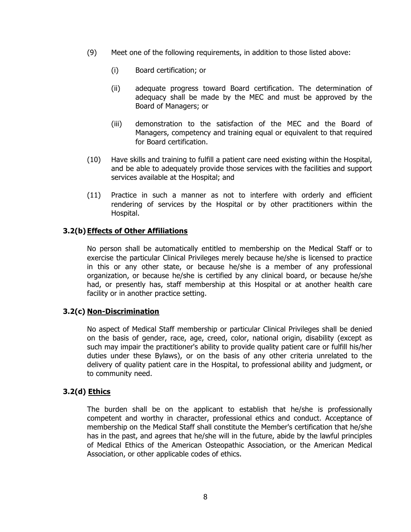- (9) Meet one of the following requirements, in addition to those listed above:
	- (i) Board certification; or
	- (ii) adequate progress toward Board certification. The determination of adequacy shall be made by the MEC and must be approved by the Board of Managers; or
	- (iii) demonstration to the satisfaction of the MEC and the Board of Managers, competency and training equal or equivalent to that required for Board certification.
- (10) Have skills and training to fulfill a patient care need existing within the Hospital, and be able to adequately provide those services with the facilities and support services available at the Hospital; and
- (11) Practice in such a manner as not to interfere with orderly and efficient rendering of services by the Hospital or by other practitioners within the Hospital.

### **3.2(b) Effects of Other Affiliations**

No person shall be automatically entitled to membership on the Medical Staff or to exercise the particular Clinical Privileges merely because he/she is licensed to practice in this or any other state, or because he/she is a member of any professional organization, or because he/she is certified by any clinical board, or because he/she had, or presently has, staff membership at this Hospital or at another health care facility or in another practice setting.

#### **3.2(c) Non-Discrimination**

No aspect of Medical Staff membership or particular Clinical Privileges shall be denied on the basis of gender, race, age, creed, color, national origin, disability (except as such may impair the practitioner's ability to provide quality patient care or fulfill his/her duties under these Bylaws), or on the basis of any other criteria unrelated to the delivery of quality patient care in the Hospital, to professional ability and judgment, or to community need.

#### **3.2(d) Ethics**

The burden shall be on the applicant to establish that he/she is professionally competent and worthy in character, professional ethics and conduct. Acceptance of membership on the Medical Staff shall constitute the Member's certification that he/she has in the past, and agrees that he/she will in the future, abide by the lawful principles of Medical Ethics of the American Osteopathic Association, or the American Medical Association, or other applicable codes of ethics.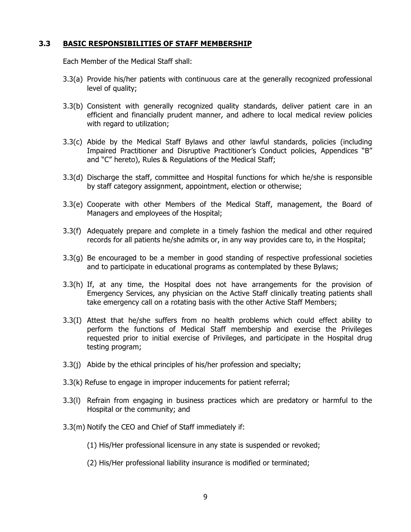#### **3.3 BASIC RESPONSIBILITIES OF STAFF MEMBERSHIP**

Each Member of the Medical Staff shall:

- 3.3(a) Provide his/her patients with continuous care at the generally recognized professional level of quality;
- 3.3(b) Consistent with generally recognized quality standards, deliver patient care in an efficient and financially prudent manner, and adhere to local medical review policies with regard to utilization;
- 3.3(c) Abide by the Medical Staff Bylaws and other lawful standards, policies (including Impaired Practitioner and Disruptive Practitioner's Conduct policies, Appendices "B" and "C" hereto), Rules & Regulations of the Medical Staff;
- 3.3(d) Discharge the staff, committee and Hospital functions for which he/she is responsible by staff category assignment, appointment, election or otherwise;
- 3.3(e) Cooperate with other Members of the Medical Staff, management, the Board of Managers and employees of the Hospital;
- 3.3(f) Adequately prepare and complete in a timely fashion the medical and other required records for all patients he/she admits or, in any way provides care to, in the Hospital;
- 3.3(g) Be encouraged to be a member in good standing of respective professional societies and to participate in educational programs as contemplated by these Bylaws;
- 3.3(h) If, at any time, the Hospital does not have arrangements for the provision of Emergency Services, any physician on the Active Staff clinically treating patients shall take emergency call on a rotating basis with the other Active Staff Members;
- 3.3(I) Attest that he/she suffers from no health problems which could effect ability to perform the functions of Medical Staff membership and exercise the Privileges requested prior to initial exercise of Privileges, and participate in the Hospital drug testing program;
- 3.3(j) Abide by the ethical principles of his/her profession and specialty;
- 3.3(k) Refuse to engage in improper inducements for patient referral;
- 3.3(l) Refrain from engaging in business practices which are predatory or harmful to the Hospital or the community; and
- 3.3(m) Notify the CEO and Chief of Staff immediately if:
	- (1) His/Her professional licensure in any state is suspended or revoked;
	- (2) His/Her professional liability insurance is modified or terminated;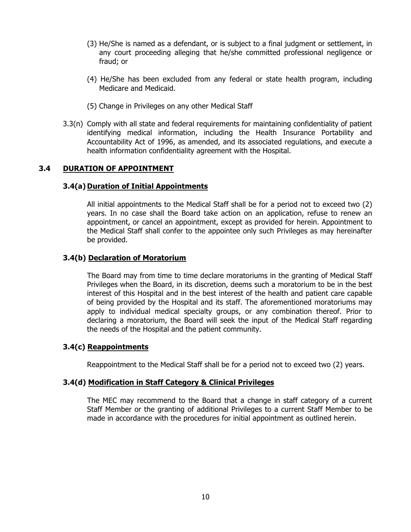- (3) He/She is named as a defendant, or is subject to a final judgment or settlement, in any court proceeding alleging that he/she committed professional negligence or fraud; or
- (4) He/She has been excluded from any federal or state health program, including Medicare and Medicaid.
- (5) Change in Privileges on any other Medical Staff
- 3.3(n) Comply with all state and federal requirements for maintaining confidentiality of patient identifying medical information, including the Health Insurance Portability and Accountability Act of 1996, as amended, and its associated regulations, and execute a health information confidentiality agreement with the Hospital.

#### **3.4 DURATION OF APPOINTMENT**

#### **3.4(a) Duration of Initial Appointments**

All initial appointments to the Medical Staff shall be for a period not to exceed two (2) years. In no case shall the Board take action on an application, refuse to renew an appointment, or cancel an appointment, except as provided for herein. Appointment to the Medical Staff shall confer to the appointee only such Privileges as may hereinafter be provided.

#### **3.4(b) Declaration of Moratorium**

The Board may from time to time declare moratoriums in the granting of Medical Staff Privileges when the Board, in its discretion, deems such a moratorium to be in the best interest of this Hospital and in the best interest of the health and patient care capable of being provided by the Hospital and its staff. The aforementioned moratoriums may apply to individual medical specialty groups, or any combination thereof. Prior to declaring a moratorium, the Board will seek the input of the Medical Staff regarding the needs of the Hospital and the patient community.

#### **3.4(c) Reappointments**

Reappointment to the Medical Staff shall be for a period not to exceed two (2) years.

#### **3.4(d) Modification in Staff Category & Clinical Privileges**

The MEC may recommend to the Board that a change in staff category of a current Staff Member or the granting of additional Privileges to a current Staff Member to be made in accordance with the procedures for initial appointment as outlined herein.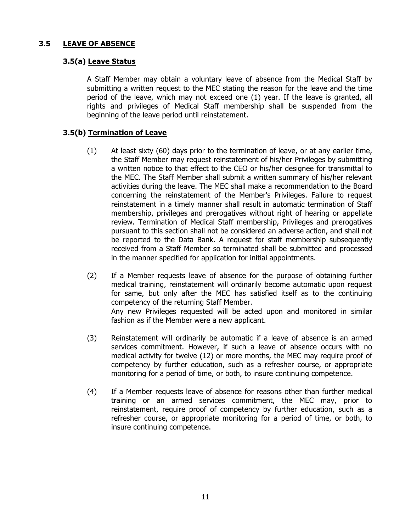### **3.5 LEAVE OF ABSENCE**

### **3.5(a) Leave Status**

A Staff Member may obtain a voluntary leave of absence from the Medical Staff by submitting a written request to the MEC stating the reason for the leave and the time period of the leave, which may not exceed one (1) year. If the leave is granted, all rights and privileges of Medical Staff membership shall be suspended from the beginning of the leave period until reinstatement.

# **3.5(b) Termination of Leave**

- (1) At least sixty (60) days prior to the termination of leave, or at any earlier time, the Staff Member may request reinstatement of his/her Privileges by submitting a written notice to that effect to the CEO or his/her designee for transmittal to the MEC. The Staff Member shall submit a written summary of his/her relevant activities during the leave. The MEC shall make a recommendation to the Board concerning the reinstatement of the Member's Privileges. Failure to request reinstatement in a timely manner shall result in automatic termination of Staff membership, privileges and prerogatives without right of hearing or appellate review. Termination of Medical Staff membership, Privileges and prerogatives pursuant to this section shall not be considered an adverse action, and shall not be reported to the Data Bank. A request for staff membership subsequently received from a Staff Member so terminated shall be submitted and processed in the manner specified for application for initial appointments.
- (2) If a Member requests leave of absence for the purpose of obtaining further medical training, reinstatement will ordinarily become automatic upon request for same, but only after the MEC has satisfied itself as to the continuing competency of the returning Staff Member. Any new Privileges requested will be acted upon and monitored in similar fashion as if the Member were a new applicant.
- (3) Reinstatement will ordinarily be automatic if a leave of absence is an armed services commitment. However, if such a leave of absence occurs with no medical activity for twelve (12) or more months, the MEC may require proof of competency by further education, such as a refresher course, or appropriate monitoring for a period of time, or both, to insure continuing competence.
- (4) If a Member requests leave of absence for reasons other than further medical training or an armed services commitment, the MEC may, prior to reinstatement, require proof of competency by further education, such as a refresher course, or appropriate monitoring for a period of time, or both, to insure continuing competence.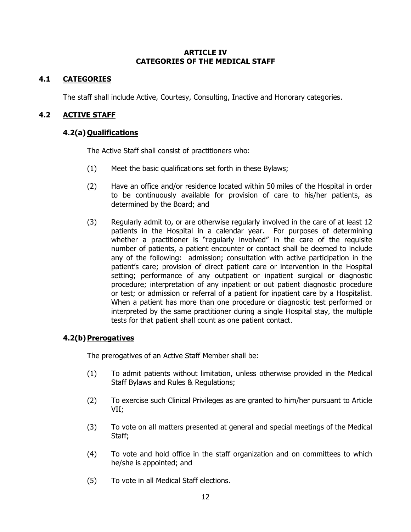#### **ARTICLE IV CATEGORIES OF THE MEDICAL STAFF**

# **4.1 CATEGORIES**

The staff shall include Active, Courtesy, Consulting, Inactive and Honorary categories.

### **4.2 ACTIVE STAFF**

### **4.2(a) Qualifications**

The Active Staff shall consist of practitioners who:

- (1) Meet the basic qualifications set forth in these Bylaws;
- (2) Have an office and/or residence located within 50 miles of the Hospital in order to be continuously available for provision of care to his/her patients, as determined by the Board; and
- (3) Regularly admit to, or are otherwise regularly involved in the care of at least 12 patients in the Hospital in a calendar year. For purposes of determining whether a practitioner is "regularly involved" in the care of the requisite number of patients, a patient encounter or contact shall be deemed to include any of the following: admission; consultation with active participation in the patient's care; provision of direct patient care or intervention in the Hospital setting; performance of any outpatient or inpatient surgical or diagnostic procedure; interpretation of any inpatient or out patient diagnostic procedure or test; or admission or referral of a patient for inpatient care by a Hospitalist. When a patient has more than one procedure or diagnostic test performed or interpreted by the same practitioner during a single Hospital stay, the multiple tests for that patient shall count as one patient contact.

# **4.2(b)Prerogatives**

The prerogatives of an Active Staff Member shall be:

- (1) To admit patients without limitation, unless otherwise provided in the Medical Staff Bylaws and Rules & Regulations;
- (2) To exercise such Clinical Privileges as are granted to him/her pursuant to Article VII;
- (3) To vote on all matters presented at general and special meetings of the Medical Staff;
- (4) To vote and hold office in the staff organization and on committees to which he/she is appointed; and
- (5) To vote in all Medical Staff elections.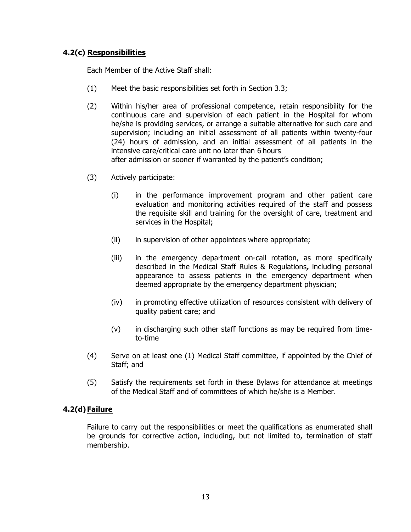# **4.2(c) Responsibilities**

Each Member of the Active Staff shall:

- (1) Meet the basic responsibilities set forth in Section 3.3;
- (2) Within his/her area of professional competence, retain responsibility for the continuous care and supervision of each patient in the Hospital for whom he/she is providing services, or arrange a suitable alternative for such care and supervision; including an initial assessment of all patients within twenty-four (24) hours of admission, and an initial assessment of all patients in the intensive care/critical care unit no later than 6 hours after admission or sooner if warranted by the patient's condition;
- (3) Actively participate:
	- (i) in the performance improvement program and other patient care evaluation and monitoring activities required of the staff and possess the requisite skill and training for the oversight of care, treatment and services in the Hospital;
	- (ii) in supervision of other appointees where appropriate;
	- (iii) in the emergency department on-call rotation, as more specifically described in the Medical Staff Rules & Regulations**,** including personal appearance to assess patients in the emergency department when deemed appropriate by the emergency department physician;
	- (iv) in promoting effective utilization of resources consistent with delivery of quality patient care; and
	- (v) in discharging such other staff functions as may be required from timeto-time
- (4) Serve on at least one (1) Medical Staff committee, if appointed by the Chief of Staff; and
- (5) Satisfy the requirements set forth in these Bylaws for attendance at meetings of the Medical Staff and of committees of which he/she is a Member.

# **4.2(d) Failure**

Failure to carry out the responsibilities or meet the qualifications as enumerated shall be grounds for corrective action, including, but not limited to, termination of staff membership.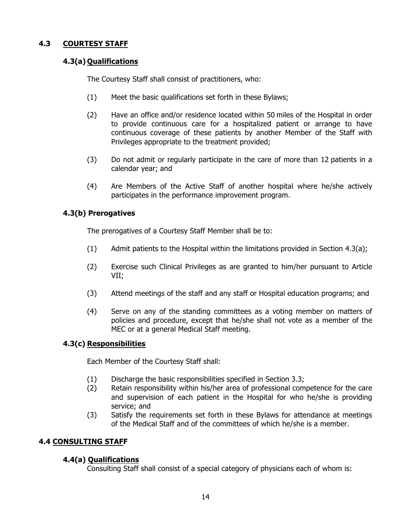# **4.3 COURTESY STAFF**

# **4.3(a) Qualifications**

The Courtesy Staff shall consist of practitioners, who:

- (1) Meet the basic qualifications set forth in these Bylaws;
- (2) Have an office and/or residence located within 50 miles of the Hospital in order to provide continuous care for a hospitalized patient or arrange to have continuous coverage of these patients by another Member of the Staff with Privileges appropriate to the treatment provided;
- (3) Do not admit or regularly participate in the care of more than 12 patients in a calendar year; and
- (4) Are Members of the Active Staff of another hospital where he/she actively participates in the performance improvement program.

# **4.3(b) Prerogatives**

The prerogatives of a Courtesy Staff Member shall be to:

- (1) Admit patients to the Hospital within the limitations provided in Section 4.3(a);
- (2) Exercise such Clinical Privileges as are granted to him/her pursuant to Article VII;
- (3) Attend meetings of the staff and any staff or Hospital education programs; and
- (4) Serve on any of the standing committees as a voting member on matters of policies and procedure, except that he/she shall not vote as a member of the MEC or at a general Medical Staff meeting.

# **4.3(c) Responsibilities**

Each Member of the Courtesy Staff shall:

- (1) Discharge the basic responsibilities specified in Section 3.3;
- (2) Retain responsibility within his/her area of professional competence for the care and supervision of each patient in the Hospital for who he/she is providing service; and
- (3) Satisfy the requirements set forth in these Bylaws for attendance at meetings of the Medical Staff and of the committees of which he/she is a member.

# **4.4 CONSULTING STAFF**

# **4.4(a) Qualifications**

Consulting Staff shall consist of a special category of physicians each of whom is: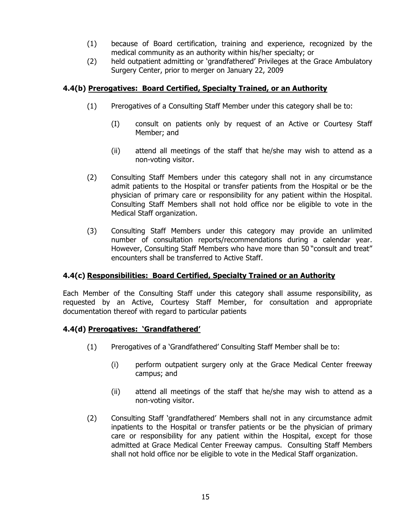- (1) because of Board certification, training and experience, recognized by the medical community as an authority within his/her specialty; or
- (2) held outpatient admitting or 'grandfathered' Privileges at the Grace Ambulatory Surgery Center, prior to merger on January 22, 2009

# **4.4(b) Prerogatives: Board Certified, Specialty Trained, or an Authority**

- (1) Prerogatives of a Consulting Staff Member under this category shall be to:
	- (I) consult on patients only by request of an Active or Courtesy Staff Member; and
	- (ii) attend all meetings of the staff that he/she may wish to attend as a non-voting visitor.
- (2) Consulting Staff Members under this category shall not in any circumstance admit patients to the Hospital or transfer patients from the Hospital or be the physician of primary care or responsibility for any patient within the Hospital. Consulting Staff Members shall not hold office nor be eligible to vote in the Medical Staff organization.
- (3) Consulting Staff Members under this category may provide an unlimited number of consultation reports/recommendations during a calendar year. However, Consulting Staff Members who have more than 50 "consult and treat" encounters shall be transferred to Active Staff.

# **4.4(c) Responsibilities: Board Certified, Specialty Trained or an Authority**

Each Member of the Consulting Staff under this category shall assume responsibility, as requested by an Active, Courtesy Staff Member, for consultation and appropriate documentation thereof with regard to particular patients

# **4.4(d) Prerogatives: 'Grandfathered'**

- (1) Prerogatives of a 'Grandfathered' Consulting Staff Member shall be to:
	- (i) perform outpatient surgery only at the Grace Medical Center freeway campus; and
	- (ii) attend all meetings of the staff that he/she may wish to attend as a non-voting visitor.
- (2) Consulting Staff 'grandfathered' Members shall not in any circumstance admit inpatients to the Hospital or transfer patients or be the physician of primary care or responsibility for any patient within the Hospital, except for those admitted at Grace Medical Center Freeway campus. Consulting Staff Members shall not hold office nor be eligible to vote in the Medical Staff organization.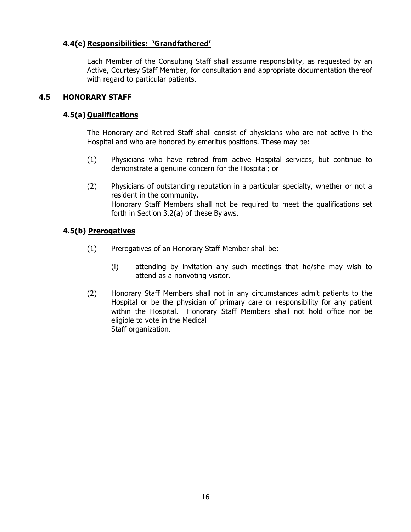# **4.4(e) Responsibilities: 'Grandfathered'**

Each Member of the Consulting Staff shall assume responsibility, as requested by an Active, Courtesy Staff Member, for consultation and appropriate documentation thereof with regard to particular patients.

### **4.5 HONORARY STAFF**

### **4.5(a) Qualifications**

The Honorary and Retired Staff shall consist of physicians who are not active in the Hospital and who are honored by emeritus positions. These may be:

- (1) Physicians who have retired from active Hospital services, but continue to demonstrate a genuine concern for the Hospital; or
- (2) Physicians of outstanding reputation in a particular specialty, whether or not a resident in the community. Honorary Staff Members shall not be required to meet the qualifications set forth in Section 3.2(a) of these Bylaws.

# **4.5(b) Prerogatives**

- (1) Prerogatives of an Honorary Staff Member shall be:
	- (i) attending by invitation any such meetings that he/she may wish to attend as a nonvoting visitor.
- (2) Honorary Staff Members shall not in any circumstances admit patients to the Hospital or be the physician of primary care or responsibility for any patient within the Hospital. Honorary Staff Members shall not hold office nor be eligible to vote in the Medical Staff organization.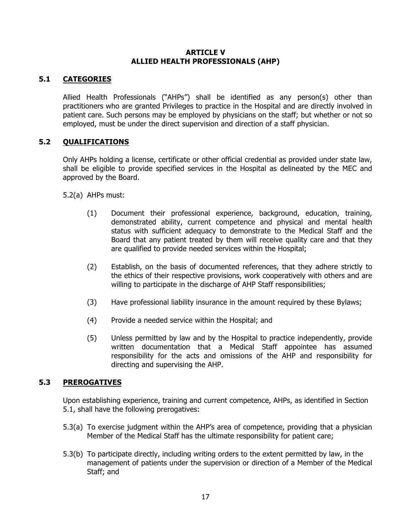#### **ARTICLE V ALLIED HEALTH PROFESSIONALS (AHP)**

# **5.1 CATEGORIES**

Allied Health Professionals ("AHPs") shall be identified as any person(s) other than practitioners who are granted Privileges to practice in the Hospital and are directly involved in patient care. Such persons may be employed by physicians on the staff; but whether or not so employed, must be under the direct supervision and direction of a staff physician.

# **5.2 QUALIFICATIONS**

Only AHPs holding a license, certificate or other official credential as provided under state law, shall be eligible to provide specified services in the Hospital as delineated by the MEC and approved by the Board.

5.2(a) AHPs must:

- (1) Document their professional experience, background, education, training, demonstrated ability, current competence and physical and mental health status with sufficient adequacy to demonstrate to the Medical Staff and the Board that any patient treated by them will receive quality care and that they are qualified to provide needed services within the Hospital;
- (2) Establish, on the basis of documented references, that they adhere strictly to the ethics of their respective provisions, work cooperatively with others and are willing to participate in the discharge of AHP Staff responsibilities;
- (3) Have professional liability insurance in the amount required by these Bylaws;
- (4) Provide a needed service within the Hospital; and
- (5) Unless permitted by law and by the Hospital to practice independently, provide written documentation that a Medical Staff appointee has assumed responsibility for the acts and omissions of the AHP and responsibility for directing and supervising the AHP.

# **5.3 PREROGATIVES**

Upon establishing experience, training and current competence, AHPs, as identified in Section 5.1, shall have the following prerogatives:

- 5.3(a) To exercise judgment within the AHP's area of competence, providing that a physician Member of the Medical Staff has the ultimate responsibility for patient care;
- 5.3(b) To participate directly, including writing orders to the extent permitted by law, in the management of patients under the supervision or direction of a Member of the Medical Staff; and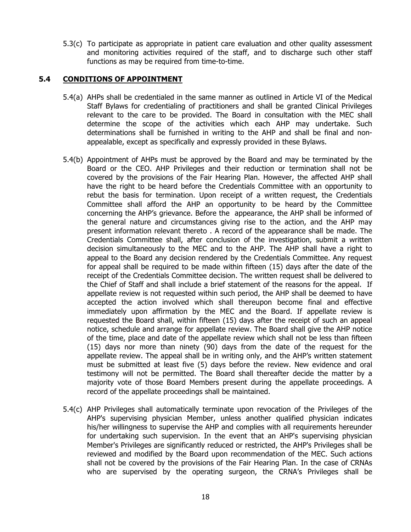5.3(c) To participate as appropriate in patient care evaluation and other quality assessment and monitoring activities required of the staff, and to discharge such other staff functions as may be required from time-to-time.

### **5.4 CONDITIONS OF APPOINTMENT**

- 5.4(a) AHPs shall be credentialed in the same manner as outlined in Article VI of the Medical Staff Bylaws for credentialing of practitioners and shall be granted Clinical Privileges relevant to the care to be provided. The Board in consultation with the MEC shall determine the scope of the activities which each AHP may undertake. Such determinations shall be furnished in writing to the AHP and shall be final and nonappealable, except as specifically and expressly provided in these Bylaws.
- 5.4(b) Appointment of AHPs must be approved by the Board and may be terminated by the Board or the CEO. AHP Privileges and their reduction or termination shall not be covered by the provisions of the Fair Hearing Plan. However, the affected AHP shall have the right to be heard before the Credentials Committee with an opportunity to rebut the basis for termination. Upon receipt of a written request, the Credentials Committee shall afford the AHP an opportunity to be heard by the Committee concerning the AHP's grievance. Before the appearance, the AHP shall be informed of the general nature and circumstances giving rise to the action, and the AHP may present information relevant thereto . A record of the appearance shall be made. The Credentials Committee shall, after conclusion of the investigation, submit a written decision simultaneously to the MEC and to the AHP. The AHP shall have a right to appeal to the Board any decision rendered by the Credentials Committee. Any request for appeal shall be required to be made within fifteen (15) days after the date of the receipt of the Credentials Committee decision. The written request shall be delivered to the Chief of Staff and shall include a brief statement of the reasons for the appeal. If appellate review is not requested within such period, the AHP shall be deemed to have accepted the action involved which shall thereupon become final and effective immediately upon affirmation by the MEC and the Board. If appellate review is requested the Board shall, within fifteen (15) days after the receipt of such an appeal notice, schedule and arrange for appellate review. The Board shall give the AHP notice of the time, place and date of the appellate review which shall not be less than fifteen (15) days nor more than ninety (90) days from the date of the request for the appellate review. The appeal shall be in writing only, and the AHP's written statement must be submitted at least five (5) days before the review. New evidence and oral testimony will not be permitted. The Board shall thereafter decide the matter by a majority vote of those Board Members present during the appellate proceedings. A record of the appellate proceedings shall be maintained.
- 5.4(c) AHP Privileges shall automatically terminate upon revocation of the Privileges of the AHP's supervising physician Member, unless another qualified physician indicates his/her willingness to supervise the AHP and complies with all requirements hereunder for undertaking such supervision. In the event that an AHP's supervising physician Member's Privileges are significantly reduced or restricted, the AHP's Privileges shall be reviewed and modified by the Board upon recommendation of the MEC. Such actions shall not be covered by the provisions of the Fair Hearing Plan. In the case of CRNAs who are supervised by the operating surgeon, the CRNA's Privileges shall be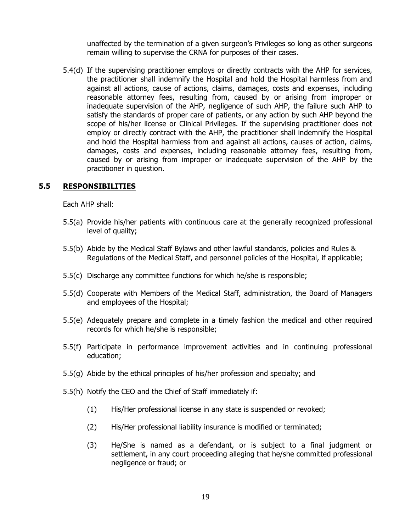unaffected by the termination of a given surgeon's Privileges so long as other surgeons remain willing to supervise the CRNA for purposes of their cases.

5.4(d) If the supervising practitioner employs or directly contracts with the AHP for services, the practitioner shall indemnify the Hospital and hold the Hospital harmless from and against all actions, cause of actions, claims, damages, costs and expenses, including reasonable attorney fees, resulting from, caused by or arising from improper or inadequate supervision of the AHP, negligence of such AHP, the failure such AHP to satisfy the standards of proper care of patients, or any action by such AHP beyond the scope of his/her license or Clinical Privileges. If the supervising practitioner does not employ or directly contract with the AHP, the practitioner shall indemnify the Hospital and hold the Hospital harmless from and against all actions, causes of action, claims, damages, costs and expenses, including reasonable attorney fees, resulting from, caused by or arising from improper or inadequate supervision of the AHP by the practitioner in question.

#### **5.5 RESPONSIBILITIES**

Each AHP shall:

- 5.5(a) Provide his/her patients with continuous care at the generally recognized professional level of quality;
- 5.5(b) Abide by the Medical Staff Bylaws and other lawful standards, policies and Rules & Regulations of the Medical Staff, and personnel policies of the Hospital, if applicable;
- 5.5(c) Discharge any committee functions for which he/she is responsible;
- 5.5(d) Cooperate with Members of the Medical Staff, administration, the Board of Managers and employees of the Hospital;
- 5.5(e) Adequately prepare and complete in a timely fashion the medical and other required records for which he/she is responsible;
- 5.5(f) Participate in performance improvement activities and in continuing professional education;
- 5.5(g) Abide by the ethical principles of his/her profession and specialty; and
- 5.5(h) Notify the CEO and the Chief of Staff immediately if:
	- (1) His/Her professional license in any state is suspended or revoked;
	- (2) His/Her professional liability insurance is modified or terminated;
	- (3) He/She is named as a defendant, or is subject to a final judgment or settlement, in any court proceeding alleging that he/she committed professional negligence or fraud; or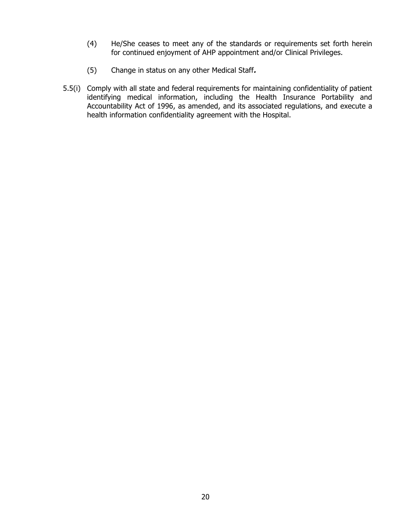- (4) He/She ceases to meet any of the standards or requirements set forth herein for continued enjoyment of AHP appointment and/or Clinical Privileges.
- (5) Change in status on any other Medical Staff**.**
- 5.5(i) Comply with all state and federal requirements for maintaining confidentiality of patient identifying medical information, including the Health Insurance Portability and Accountability Act of 1996, as amended, and its associated regulations, and execute a health information confidentiality agreement with the Hospital.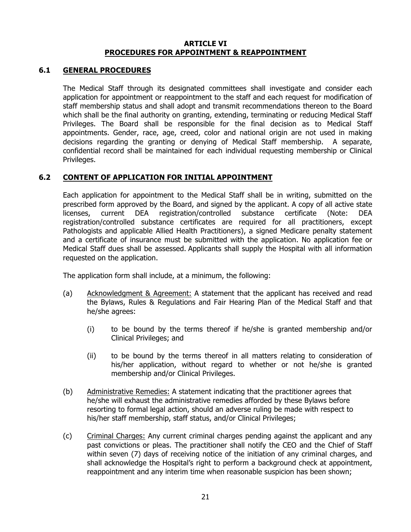#### **ARTICLE VI PROCEDURES FOR APPOINTMENT & REAPPOINTMENT**

#### **6.1 GENERAL PROCEDURES**

The Medical Staff through its designated committees shall investigate and consider each application for appointment or reappointment to the staff and each request for modification of staff membership status and shall adopt and transmit recommendations thereon to the Board which shall be the final authority on granting, extending, terminating or reducing Medical Staff Privileges. The Board shall be responsible for the final decision as to Medical Staff appointments. Gender, race, age, creed, color and national origin are not used in making decisions regarding the granting or denying of Medical Staff membership. A separate, confidential record shall be maintained for each individual requesting membership or Clinical Privileges.

#### **6.2 CONTENT OF APPLICATION FOR INITIAL APPOINTMENT**

Each application for appointment to the Medical Staff shall be in writing, submitted on the prescribed form approved by the Board, and signed by the applicant. A copy of all active state licenses, current DEA registration/controlled substance certificate (Note: DEA registration/controlled substance certificates are required for all practitioners, except Pathologists and applicable Allied Health Practitioners), a signed Medicare penalty statement and a certificate of insurance must be submitted with the application. No application fee or Medical Staff dues shall be assessed. Applicants shall supply the Hospital with all information requested on the application.

The application form shall include, at a minimum, the following:

- (a) Acknowledgment & Agreement: A statement that the applicant has received and read the Bylaws, Rules & Regulations and Fair Hearing Plan of the Medical Staff and that he/she agrees:
	- (i) to be bound by the terms thereof if he/she is granted membership and/or Clinical Privileges; and
	- (ii) to be bound by the terms thereof in all matters relating to consideration of his/her application, without regard to whether or not he/she is granted membership and/or Clinical Privileges.
- (b) Administrative Remedies: A statement indicating that the practitioner agrees that he/she will exhaust the administrative remedies afforded by these Bylaws before resorting to formal legal action, should an adverse ruling be made with respect to his/her staff membership, staff status, and/or Clinical Privileges;
- (c) Criminal Charges: Any current criminal charges pending against the applicant and any past convictions or pleas. The practitioner shall notify the CEO and the Chief of Staff within seven (7) days of receiving notice of the initiation of any criminal charges, and shall acknowledge the Hospital's right to perform a background check at appointment, reappointment and any interim time when reasonable suspicion has been shown;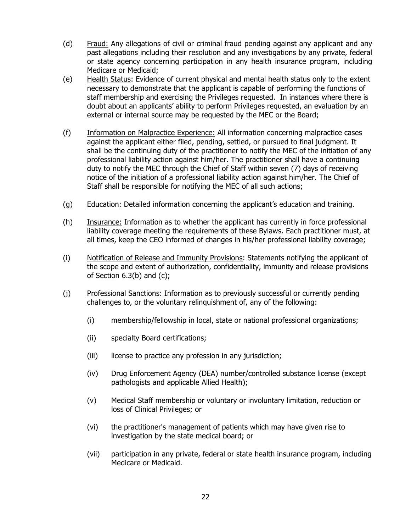- (d) Fraud: Any allegations of civil or criminal fraud pending against any applicant and any past allegations including their resolution and any investigations by any private, federal or state agency concerning participation in any health insurance program, including Medicare or Medicaid;
- (e) Health Status: Evidence of current physical and mental health status only to the extent necessary to demonstrate that the applicant is capable of performing the functions of staff membership and exercising the Privileges requested. In instances where there is doubt about an applicants' ability to perform Privileges requested, an evaluation by an external or internal source may be requested by the MEC or the Board;
- (f) Information on Malpractice Experience: All information concerning malpractice cases against the applicant either filed, pending, settled, or pursued to final judgment. It shall be the continuing duty of the practitioner to notify the MEC of the initiation of any professional liability action against him/her. The practitioner shall have a continuing duty to notify the MEC through the Chief of Staff within seven (7) days of receiving notice of the initiation of a professional liability action against him/her. The Chief of Staff shall be responsible for notifying the MEC of all such actions;
- (g) Education: Detailed information concerning the applicant's education and training.
- (h) Insurance: Information as to whether the applicant has currently in force professional liability coverage meeting the requirements of these Bylaws. Each practitioner must, at all times, keep the CEO informed of changes in his/her professional liability coverage;
- (i) Notification of Release and Immunity Provisions: Statements notifying the applicant of the scope and extent of authorization, confidentiality, immunity and release provisions of Section  $6.3(b)$  and  $(c)$ ;
- (j) Professional Sanctions: Information as to previously successful or currently pending challenges to, or the voluntary relinquishment of, any of the following:
	- (i) membership/fellowship in local, state or national professional organizations;
	- (ii) specialty Board certifications;
	- (iii) license to practice any profession in any jurisdiction;
	- (iv) Drug Enforcement Agency (DEA) number/controlled substance license (except pathologists and applicable Allied Health);
	- (v) Medical Staff membership or voluntary or involuntary limitation, reduction or loss of Clinical Privileges; or
	- (vi) the practitioner's management of patients which may have given rise to investigation by the state medical board; or
	- (vii) participation in any private, federal or state health insurance program, including Medicare or Medicaid.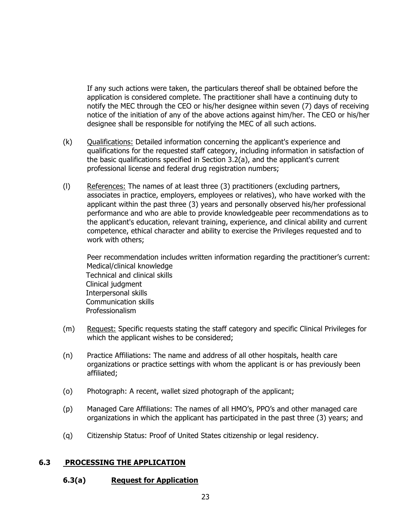If any such actions were taken, the particulars thereof shall be obtained before the application is considered complete. The practitioner shall have a continuing duty to notify the MEC through the CEO or his/her designee within seven (7) days of receiving notice of the initiation of any of the above actions against him/her. The CEO or his/her designee shall be responsible for notifying the MEC of all such actions.

- (k) Qualifications: Detailed information concerning the applicant's experience and qualifications for the requested staff category, including information in satisfaction of the basic qualifications specified in Section 3.2(a), and the applicant's current professional license and federal drug registration numbers;
- (l) References: The names of at least three (3) practitioners (excluding partners, associates in practice, employers, employees or relatives), who have worked with the applicant within the past three (3) years and personally observed his/her professional performance and who are able to provide knowledgeable peer recommendations as to the applicant's education, relevant training, experience, and clinical ability and current competence, ethical character and ability to exercise the Privileges requested and to work with others;

Peer recommendation includes written information regarding the practitioner's current: Medical/clinical knowledge Technical and clinical skills Clinical judgment Interpersonal skills Communication skills Professionalism

- (m) Request: Specific requests stating the staff category and specific Clinical Privileges for which the applicant wishes to be considered;
- (n) Practice Affiliations: The name and address of all other hospitals, health care organizations or practice settings with whom the applicant is or has previously been affiliated;
- (o) Photograph: A recent, wallet sized photograph of the applicant;
- (p) Managed Care Affiliations: The names of all HMO's, PPO's and other managed care organizations in which the applicant has participated in the past three (3) years; and
- (q) Citizenship Status: Proof of United States citizenship or legal residency.

# **6.3 PROCESSING THE APPLICATION**

# **6.3(a) Request for Application**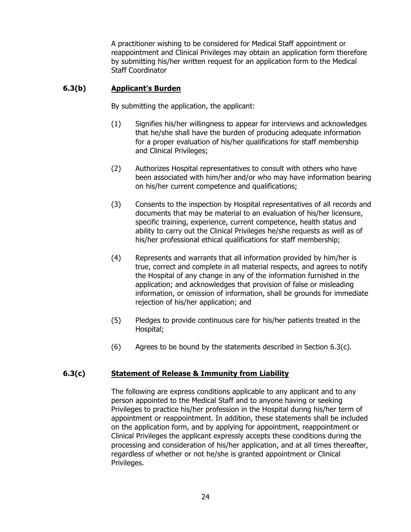A practitioner wishing to be considered for Medical Staff appointment or reappointment and Clinical Privileges may obtain an application form therefore by submitting his/her written request for an application form to the Medical Staff Coordinator

# **6.3(b) Applicant's Burden**

By submitting the application, the applicant:

- (1) Signifies his/her willingness to appear for interviews and acknowledges that he/she shall have the burden of producing adequate information for a proper evaluation of his/her qualifications for staff membership and Clinical Privileges;
- (2) Authorizes Hospital representatives to consult with others who have been associated with him/her and/or who may have information bearing on his/her current competence and qualifications;
- (3) Consents to the inspection by Hospital representatives of all records and documents that may be material to an evaluation of his/her licensure, specific training, experience, current competence, health status and ability to carry out the Clinical Privileges he/she requests as well as of his/her professional ethical qualifications for staff membership;
- (4) Represents and warrants that all information provided by him/her is true, correct and complete in all material respects, and agrees to notify the Hospital of any change in any of the information furnished in the application; and acknowledges that provision of false or misleading information, or omission of information, shall be grounds for immediate rejection of his/her application; and
- (5) Pledges to provide continuous care for his/her patients treated in the Hospital;
- (6) Agrees to be bound by the statements described in Section  $6.3(c)$ .

# **6.3(c) Statement of Release & Immunity from Liability**

The following are express conditions applicable to any applicant and to any person appointed to the Medical Staff and to anyone having or seeking Privileges to practice his/her profession in the Hospital during his/her term of appointment or reappointment. In addition, these statements shall be included on the application form, and by applying for appointment, reappointment or Clinical Privileges the applicant expressly accepts these conditions during the processing and consideration of his/her application, and at all times thereafter, regardless of whether or not he/she is granted appointment or Clinical Privileges.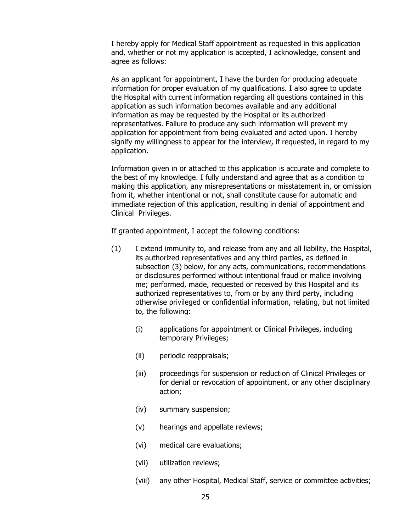I hereby apply for Medical Staff appointment as requested in this application and, whether or not my application is accepted, I acknowledge, consent and agree as follows:

As an applicant for appointment, I have the burden for producing adequate information for proper evaluation of my qualifications. I also agree to update the Hospital with current information regarding all questions contained in this application as such information becomes available and any additional information as may be requested by the Hospital or its authorized representatives. Failure to produce any such information will prevent my application for appointment from being evaluated and acted upon. I hereby signify my willingness to appear for the interview, if requested, in regard to my application.

Information given in or attached to this application is accurate and complete to the best of my knowledge. I fully understand and agree that as a condition to making this application, any misrepresentations or misstatement in, or omission from it, whether intentional or not, shall constitute cause for automatic and immediate rejection of this application, resulting in denial of appointment and Clinical Privileges.

If granted appointment, I accept the following conditions:

- (1) I extend immunity to, and release from any and all liability, the Hospital, its authorized representatives and any third parties, as defined in subsection (3) below, for any acts, communications, recommendations or disclosures performed without intentional fraud or malice involving me; performed, made, requested or received by this Hospital and its authorized representatives to, from or by any third party, including otherwise privileged or confidential information, relating, but not limited to, the following:
	- (i) applications for appointment or Clinical Privileges, including temporary Privileges;
	- (ii) periodic reappraisals;
	- (iii) proceedings for suspension or reduction of Clinical Privileges or for denial or revocation of appointment, or any other disciplinary action;
	- (iv) summary suspension;
	- (v) hearings and appellate reviews;
	- (vi) medical care evaluations;
	- (vii) utilization reviews;
	- (viii) any other Hospital, Medical Staff, service or committee activities;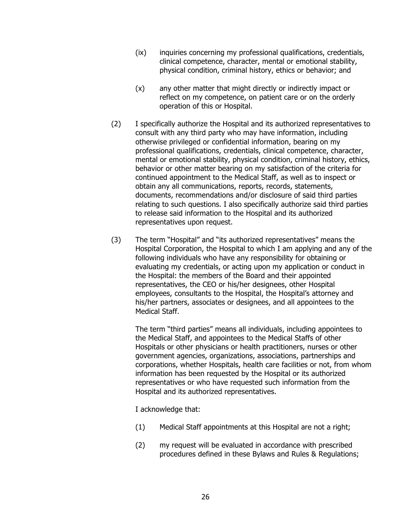- (ix) inquiries concerning my professional qualifications, credentials, clinical competence, character, mental or emotional stability, physical condition, criminal history, ethics or behavior; and
- (x) any other matter that might directly or indirectly impact or reflect on my competence, on patient care or on the orderly operation of this or Hospital.
- (2) I specifically authorize the Hospital and its authorized representatives to consult with any third party who may have information, including otherwise privileged or confidential information, bearing on my professional qualifications, credentials, clinical competence, character, mental or emotional stability, physical condition, criminal history, ethics, behavior or other matter bearing on my satisfaction of the criteria for continued appointment to the Medical Staff, as well as to inspect or obtain any all communications, reports, records, statements, documents, recommendations and/or disclosure of said third parties relating to such questions. I also specifically authorize said third parties to release said information to the Hospital and its authorized representatives upon request.
- (3) The term "Hospital" and "its authorized representatives" means the Hospital Corporation, the Hospital to which I am applying and any of the following individuals who have any responsibility for obtaining or evaluating my credentials, or acting upon my application or conduct in the Hospital: the members of the Board and their appointed representatives, the CEO or his/her designees, other Hospital employees, consultants to the Hospital, the Hospital's attorney and his/her partners, associates or designees, and all appointees to the Medical Staff.

The term "third parties" means all individuals, including appointees to the Medical Staff, and appointees to the Medical Staffs of other Hospitals or other physicians or health practitioners, nurses or other government agencies, organizations, associations, partnerships and corporations, whether Hospitals, health care facilities or not, from whom information has been requested by the Hospital or its authorized representatives or who have requested such information from the Hospital and its authorized representatives.

I acknowledge that:

- (1) Medical Staff appointments at this Hospital are not a right;
- (2) my request will be evaluated in accordance with prescribed procedures defined in these Bylaws and Rules & Regulations;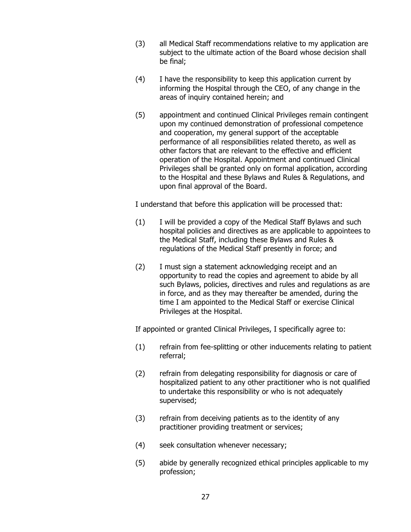- (3) all Medical Staff recommendations relative to my application are subject to the ultimate action of the Board whose decision shall be final;
- (4) I have the responsibility to keep this application current by informing the Hospital through the CEO, of any change in the areas of inquiry contained herein; and
- (5) appointment and continued Clinical Privileges remain contingent upon my continued demonstration of professional competence and cooperation, my general support of the acceptable performance of all responsibilities related thereto, as well as other factors that are relevant to the effective and efficient operation of the Hospital. Appointment and continued Clinical Privileges shall be granted only on formal application, according to the Hospital and these Bylaws and Rules & Regulations, and upon final approval of the Board.

I understand that before this application will be processed that:

- (1) I will be provided a copy of the Medical Staff Bylaws and such hospital policies and directives as are applicable to appointees to the Medical Staff, including these Bylaws and Rules & regulations of the Medical Staff presently in force; and
- (2) I must sign a statement acknowledging receipt and an opportunity to read the copies and agreement to abide by all such Bylaws, policies, directives and rules and regulations as are in force, and as they may thereafter be amended, during the time I am appointed to the Medical Staff or exercise Clinical Privileges at the Hospital.

If appointed or granted Clinical Privileges, I specifically agree to:

- (1) refrain from fee-splitting or other inducements relating to patient referral;
- (2) refrain from delegating responsibility for diagnosis or care of hospitalized patient to any other practitioner who is not qualified to undertake this responsibility or who is not adequately supervised;
- (3) refrain from deceiving patients as to the identity of any practitioner providing treatment or services;
- (4) seek consultation whenever necessary;
- (5) abide by generally recognized ethical principles applicable to my profession;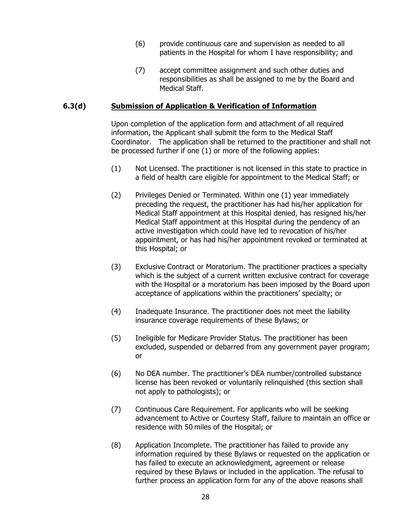- (6) provide continuous care and supervision as needed to all patients in the Hospital for whom I have responsibility; and
- (7) accept committee assignment and such other duties and responsibilities as shall be assigned to me by the Board and Medical Staff.

#### **6.3(d) Submission of Application & Verification of Information**

Upon completion of the application form and attachment of all required information, the Applicant shall submit the form to the Medical Staff Coordinator. The application shall be returned to the practitioner and shall not be processed further if one (1) or more of the following applies:

- (1) Not Licensed. The practitioner is not licensed in this state to practice in a field of health care eligible for appointment to the Medical Staff; or
- (2) Privileges Denied or Terminated. Within one (1) year immediately preceding the request, the practitioner has had his/her application for Medical Staff appointment at this Hospital denied, has resigned his/her Medical Staff appointment at this Hospital during the pendency of an active investigation which could have led to revocation of his/her appointment, or has had his/her appointment revoked or terminated at this Hospital; or
- (3) Exclusive Contract or Moratorium. The practitioner practices a specialty which is the subject of a current written exclusive contract for coverage with the Hospital or a moratorium has been imposed by the Board upon acceptance of applications within the practitioners' specialty; or
- (4) Inadequate Insurance. The practitioner does not meet the liability insurance coverage requirements of these Bylaws; or
- (5) Ineligible for Medicare Provider Status. The practitioner has been excluded, suspended or debarred from any government payer program; or
- (6) No DEA number. The practitioner's DEA number/controlled substance license has been revoked or voluntarily relinquished (this section shall not apply to pathologists); or
- (7) Continuous Care Requirement. For applicants who will be seeking advancement to Active or Courtesy Staff, failure to maintain an office or residence with 50 miles of the Hospital; or
- (8) Application Incomplete. The practitioner has failed to provide any information required by these Bylaws or requested on the application or has failed to execute an acknowledgment, agreement or release required by these Bylaws or included in the application. The refusal to further process an application form for any of the above reasons shall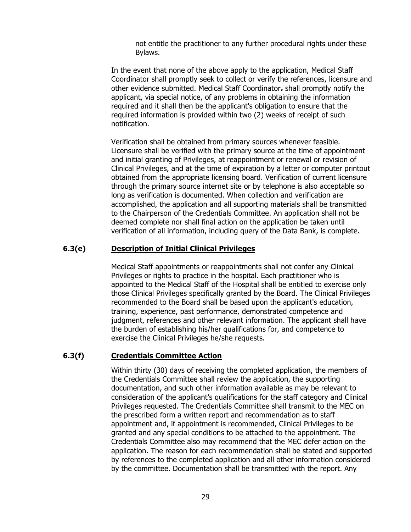not entitle the practitioner to any further procedural rights under these Bylaws.

In the event that none of the above apply to the application, Medical Staff Coordinator shall promptly seek to collect or verify the references, licensure and other evidence submitted. Medical Staff Coordinator**.** shall promptly notify the applicant, via special notice, of any problems in obtaining the information required and it shall then be the applicant's obligation to ensure that the required information is provided within two (2) weeks of receipt of such notification.

Verification shall be obtained from primary sources whenever feasible. Licensure shall be verified with the primary source at the time of appointment and initial granting of Privileges, at reappointment or renewal or revision of Clinical Privileges, and at the time of expiration by a letter or computer printout obtained from the appropriate licensing board. Verification of current licensure through the primary source internet site or by telephone is also acceptable so long as verification is documented. When collection and verification are accomplished, the application and all supporting materials shall be transmitted to the Chairperson of the Credentials Committee. An application shall not be deemed complete nor shall final action on the application be taken until verification of all information, including query of the Data Bank, is complete.

#### **6.3(e) Description of Initial Clinical Privileges**

Medical Staff appointments or reappointments shall not confer any Clinical Privileges or rights to practice in the hospital. Each practitioner who is appointed to the Medical Staff of the Hospital shall be entitled to exercise only those Clinical Privileges specifically granted by the Board. The Clinical Privileges recommended to the Board shall be based upon the applicant's education, training, experience, past performance, demonstrated competence and judgment, references and other relevant information. The applicant shall have the burden of establishing his/her qualifications for, and competence to exercise the Clinical Privileges he/she requests.

#### **6.3(f) Credentials Committee Action**

Within thirty (30) days of receiving the completed application, the members of the Credentials Committee shall review the application, the supporting documentation, and such other information available as may be relevant to consideration of the applicant's qualifications for the staff category and Clinical Privileges requested. The Credentials Committee shall transmit to the MEC on the prescribed form a written report and recommendation as to staff appointment and, if appointment is recommended, Clinical Privileges to be granted and any special conditions to be attached to the appointment. The Credentials Committee also may recommend that the MEC defer action on the application. The reason for each recommendation shall be stated and supported by references to the completed application and all other information considered by the committee. Documentation shall be transmitted with the report. Any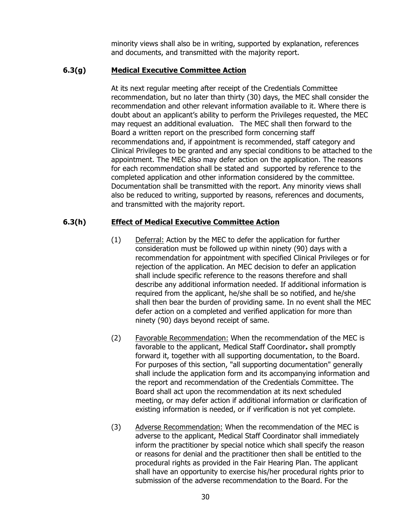minority views shall also be in writing, supported by explanation, references and documents, and transmitted with the majority report.

### **6.3(g) Medical Executive Committee Action**

At its next regular meeting after receipt of the Credentials Committee recommendation, but no later than thirty (30) days, the MEC shall consider the recommendation and other relevant information available to it. Where there is doubt about an applicant's ability to perform the Privileges requested, the MEC may request an additional evaluation. The MEC shall then forward to the Board a written report on the prescribed form concerning staff recommendations and, if appointment is recommended, staff category and Clinical Privileges to be granted and any special conditions to be attached to the appointment. The MEC also may defer action on the application. The reasons for each recommendation shall be stated and supported by reference to the completed application and other information considered by the committee. Documentation shall be transmitted with the report. Any minority views shall also be reduced to writing, supported by reasons, references and documents, and transmitted with the majority report.

### **6.3(h) Effect of Medical Executive Committee Action**

- (1) Deferral: Action by the MEC to defer the application for further consideration must be followed up within ninety (90) days with a recommendation for appointment with specified Clinical Privileges or for rejection of the application. An MEC decision to defer an application shall include specific reference to the reasons therefore and shall describe any additional information needed. If additional information is required from the applicant, he/she shall be so notified, and he/she shall then bear the burden of providing same. In no event shall the MEC defer action on a completed and verified application for more than ninety (90) days beyond receipt of same.
- (2) Favorable Recommendation: When the recommendation of the MEC is favorable to the applicant, Medical Staff Coordinator**.** shall promptly forward it, together with all supporting documentation, to the Board. For purposes of this section, "all supporting documentation" generally shall include the application form and its accompanying information and the report and recommendation of the Credentials Committee. The Board shall act upon the recommendation at its next scheduled meeting, or may defer action if additional information or clarification of existing information is needed, or if verification is not yet complete.
- (3) Adverse Recommendation: When the recommendation of the MEC is adverse to the applicant, Medical Staff Coordinator shall immediately inform the practitioner by special notice which shall specify the reason or reasons for denial and the practitioner then shall be entitled to the procedural rights as provided in the Fair Hearing Plan. The applicant shall have an opportunity to exercise his/her procedural rights prior to submission of the adverse recommendation to the Board. For the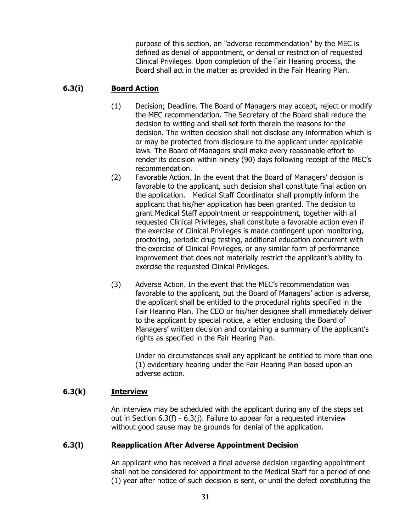purpose of this section, an "adverse recommendation" by the MEC is defined as denial of appointment, or denial or restriction of requested Clinical Privileges. Upon completion of the Fair Hearing process, the Board shall act in the matter as provided in the Fair Hearing Plan.

# **6.3(i) Board Action**

- (1) Decision; Deadline. The Board of Managers may accept, reject or modify the MEC recommendation. The Secretary of the Board shall reduce the decision to writing and shall set forth therein the reasons for the decision. The written decision shall not disclose any information which is or may be protected from disclosure to the applicant under applicable laws. The Board of Managers shall make every reasonable effort to render its decision within ninety (90) days following receipt of the MEC's recommendation.
- (2) Favorable Action. In the event that the Board of Managers' decision is favorable to the applicant, such decision shall constitute final action on the application. Medical Staff Coordinator shall promptly inform the applicant that his/her application has been granted. The decision to grant Medical Staff appointment or reappointment, together with all requested Clinical Privileges, shall constitute a favorable action even if the exercise of Clinical Privileges is made contingent upon monitoring, proctoring, periodic drug testing, additional education concurrent with the exercise of Clinical Privileges, or any similar form of performance improvement that does not materially restrict the applicant's ability to exercise the requested Clinical Privileges.
- (3) Adverse Action. In the event that the MEC's recommendation was favorable to the applicant, but the Board of Managers' action is adverse, the applicant shall be entitled to the procedural rights specified in the Fair Hearing Plan. The CEO or his/her designee shall immediately deliver to the applicant by special notice, a letter enclosing the Board of Managers' written decision and containing a summary of the applicant's rights as specified in the Fair Hearing Plan.

Under no circumstances shall any applicant be entitled to more than one (1) evidentiary hearing under the Fair Hearing Plan based upon an adverse action.

# **6.3(k) Interview**

An interview may be scheduled with the applicant during any of the steps set out in Section 6.3(f) - 6.3(j). Failure to appear for a requested interview without good cause may be grounds for denial of the application.

# **6.3(l) Reapplication After Adverse Appointment Decision**

An applicant who has received a final adverse decision regarding appointment shall not be considered for appointment to the Medical Staff for a period of one (1) year after notice of such decision is sent, or until the defect constituting the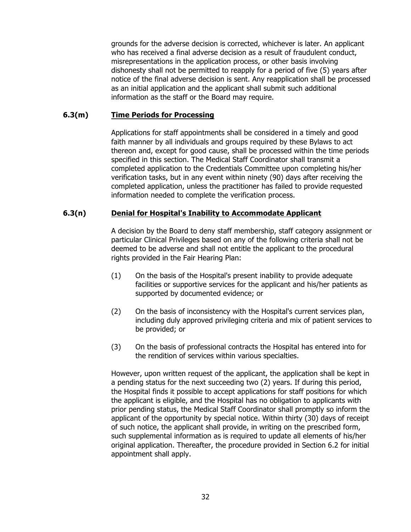grounds for the adverse decision is corrected, whichever is later. An applicant who has received a final adverse decision as a result of fraudulent conduct, misrepresentations in the application process, or other basis involving dishonesty shall not be permitted to reapply for a period of five (5) years after notice of the final adverse decision is sent. Any reapplication shall be processed as an initial application and the applicant shall submit such additional information as the staff or the Board may require.

#### **6.3(m) Time Periods for Processing**

Applications for staff appointments shall be considered in a timely and good faith manner by all individuals and groups required by these Bylaws to act thereon and, except for good cause, shall be processed within the time periods specified in this section. The Medical Staff Coordinator shall transmit a completed application to the Credentials Committee upon completing his/her verification tasks, but in any event within ninety (90) days after receiving the completed application, unless the practitioner has failed to provide requested information needed to complete the verification process.

#### **6.3(n) Denial for Hospital's Inability to Accommodate Applicant**

A decision by the Board to deny staff membership, staff category assignment or particular Clinical Privileges based on any of the following criteria shall not be deemed to be adverse and shall not entitle the applicant to the procedural rights provided in the Fair Hearing Plan:

- (1) On the basis of the Hospital's present inability to provide adequate facilities or supportive services for the applicant and his/her patients as supported by documented evidence; or
- (2) On the basis of inconsistency with the Hospital's current services plan, including duly approved privileging criteria and mix of patient services to be provided; or
- (3) On the basis of professional contracts the Hospital has entered into for the rendition of services within various specialties.

However, upon written request of the applicant, the application shall be kept in a pending status for the next succeeding two (2) years. If during this period, the Hospital finds it possible to accept applications for staff positions for which the applicant is eligible, and the Hospital has no obligation to applicants with prior pending status, the Medical Staff Coordinator shall promptly so inform the applicant of the opportunity by special notice. Within thirty (30) days of receipt of such notice, the applicant shall provide, in writing on the prescribed form, such supplemental information as is required to update all elements of his/her original application. Thereafter, the procedure provided in Section 6.2 for initial appointment shall apply.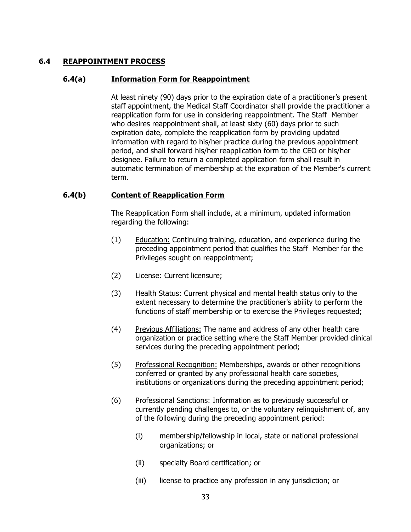### **6.4 REAPPOINTMENT PROCESS**

#### **6.4(a) Information Form for Reappointment**

At least ninety (90) days prior to the expiration date of a practitioner's present staff appointment, the Medical Staff Coordinator shall provide the practitioner a reapplication form for use in considering reappointment. The Staff Member who desires reappointment shall, at least sixty (60) days prior to such expiration date, complete the reapplication form by providing updated information with regard to his/her practice during the previous appointment period, and shall forward his/her reapplication form to the CEO or his/her designee. Failure to return a completed application form shall result in automatic termination of membership at the expiration of the Member's current term.

### **6.4(b) Content of Reapplication Form**

The Reapplication Form shall include, at a minimum, updated information regarding the following:

- (1) Education: Continuing training, education, and experience during the preceding appointment period that qualifies the Staff Member for the Privileges sought on reappointment;
- (2) License: Current licensure;
- (3) Health Status: Current physical and mental health status only to the extent necessary to determine the practitioner's ability to perform the functions of staff membership or to exercise the Privileges requested;
- (4) Previous Affiliations: The name and address of any other health care organization or practice setting where the Staff Member provided clinical services during the preceding appointment period;
- (5) Professional Recognition: Memberships, awards or other recognitions conferred or granted by any professional health care societies, institutions or organizations during the preceding appointment period;
- (6) Professional Sanctions: Information as to previously successful or currently pending challenges to, or the voluntary relinquishment of, any of the following during the preceding appointment period:
	- (i) membership/fellowship in local, state or national professional organizations; or
	- (ii) specialty Board certification; or
	- (iii) license to practice any profession in any jurisdiction; or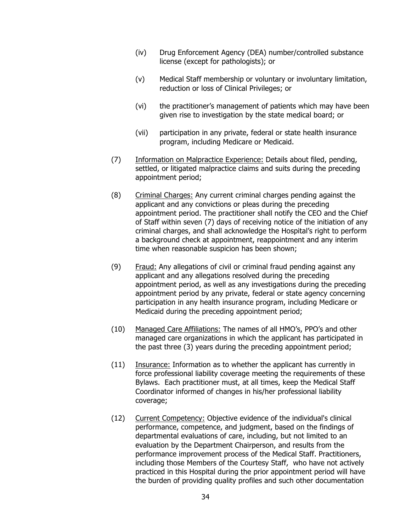- (iv) Drug Enforcement Agency (DEA) number/controlled substance license (except for pathologists); or
- (v) Medical Staff membership or voluntary or involuntary limitation, reduction or loss of Clinical Privileges; or
- (vi) the practitioner's management of patients which may have been given rise to investigation by the state medical board; or
- (vii) participation in any private, federal or state health insurance program, including Medicare or Medicaid.
- (7) Information on Malpractice Experience: Details about filed, pending, settled, or litigated malpractice claims and suits during the preceding appointment period;
- (8) Criminal Charges: Any current criminal charges pending against the applicant and any convictions or pleas during the preceding appointment period. The practitioner shall notify the CEO and the Chief of Staff within seven (7) days of receiving notice of the initiation of any criminal charges, and shall acknowledge the Hospital's right to perform a background check at appointment, reappointment and any interim time when reasonable suspicion has been shown;
- (9) Fraud: Any allegations of civil or criminal fraud pending against any applicant and any allegations resolved during the preceding appointment period, as well as any investigations during the preceding appointment period by any private, federal or state agency concerning participation in any health insurance program, including Medicare or Medicaid during the preceding appointment period;
- (10) Managed Care Affiliations: The names of all HMO's, PPO's and other managed care organizations in which the applicant has participated in the past three (3) years during the preceding appointment period;
- (11) Insurance: Information as to whether the applicant has currently in force professional liability coverage meeting the requirements of these Bylaws. Each practitioner must, at all times, keep the Medical Staff Coordinator informed of changes in his/her professional liability coverage;
- (12) Current Competency: Objective evidence of the individual's clinical performance, competence, and judgment, based on the findings of departmental evaluations of care, including, but not limited to an evaluation by the Department Chairperson, and results from the performance improvement process of the Medical Staff. Practitioners, including those Members of the Courtesy Staff, who have not actively practiced in this Hospital during the prior appointment period will have the burden of providing quality profiles and such other documentation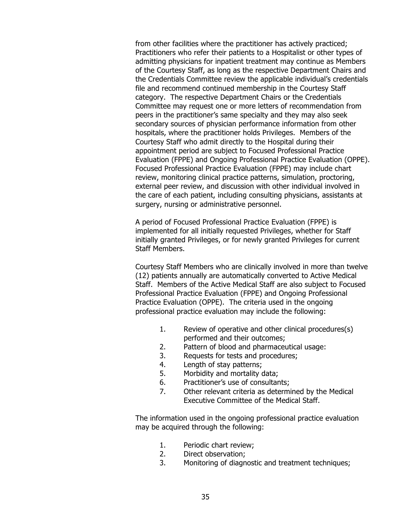from other facilities where the practitioner has actively practiced; Practitioners who refer their patients to a Hospitalist or other types of admitting physicians for inpatient treatment may continue as Members of the Courtesy Staff, as long as the respective Department Chairs and the Credentials Committee review the applicable individual's credentials file and recommend continued membership in the Courtesy Staff category. The respective Department Chairs or the Credentials Committee may request one or more letters of recommendation from peers in the practitioner's same specialty and they may also seek secondary sources of physician performance information from other hospitals, where the practitioner holds Privileges. Members of the Courtesy Staff who admit directly to the Hospital during their appointment period are subject to Focused Professional Practice Evaluation (FPPE) and Ongoing Professional Practice Evaluation (OPPE). Focused Professional Practice Evaluation (FPPE) may include chart review, monitoring clinical practice patterns, simulation, proctoring, external peer review, and discussion with other individual involved in the care of each patient, including consulting physicians, assistants at surgery, nursing or administrative personnel.

A period of Focused Professional Practice Evaluation (FPPE) is implemented for all initially requested Privileges, whether for Staff initially granted Privileges, or for newly granted Privileges for current Staff Members.

Courtesy Staff Members who are clinically involved in more than twelve (12) patients annually are automatically converted to Active Medical Staff. Members of the Active Medical Staff are also subject to Focused Professional Practice Evaluation (FPPE) and Ongoing Professional Practice Evaluation (OPPE). The criteria used in the ongoing professional practice evaluation may include the following:

- 1. Review of operative and other clinical procedures(s) performed and their outcomes;
- 2. Pattern of blood and pharmaceutical usage:
- 3. Requests for tests and procedures;
- 4. Length of stay patterns;
- 5. Morbidity and mortality data;
- 6. Practitioner's use of consultants;
- 7. Other relevant criteria as determined by the Medical Executive Committee of the Medical Staff.

The information used in the ongoing professional practice evaluation may be acquired through the following:

- 1. Periodic chart review;
- 2. Direct observation;
- 3. Monitoring of diagnostic and treatment techniques;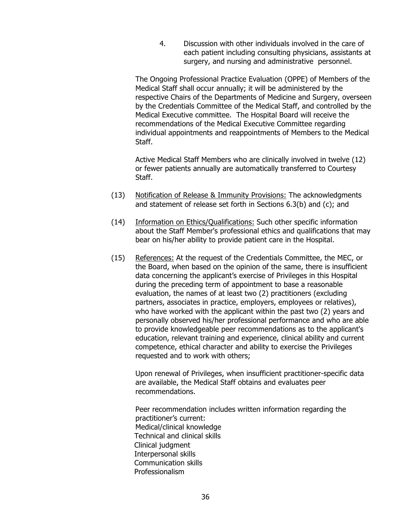4. Discussion with other individuals involved in the care of each patient including consulting physicians, assistants at surgery, and nursing and administrative personnel.

The Ongoing Professional Practice Evaluation (OPPE) of Members of the Medical Staff shall occur annually; it will be administered by the respective Chairs of the Departments of Medicine and Surgery, overseen by the Credentials Committee of the Medical Staff, and controlled by the Medical Executive committee. The Hospital Board will receive the recommendations of the Medical Executive Committee regarding individual appointments and reappointments of Members to the Medical Staff.

Active Medical Staff Members who are clinically involved in twelve (12) or fewer patients annually are automatically transferred to Courtesy Staff.

- (13) Notification of Release & Immunity Provisions: The acknowledgments and statement of release set forth in Sections 6.3(b) and (c); and
- (14) Information on Ethics/Qualifications: Such other specific information about the Staff Member's professional ethics and qualifications that may bear on his/her ability to provide patient care in the Hospital.
- (15) References: At the request of the Credentials Committee, the MEC, or the Board, when based on the opinion of the same, there is insufficient data concerning the applicant's exercise of Privileges in this Hospital during the preceding term of appointment to base a reasonable evaluation, the names of at least two (2) practitioners (excluding partners, associates in practice, employers, employees or relatives), who have worked with the applicant within the past two (2) years and personally observed his/her professional performance and who are able to provide knowledgeable peer recommendations as to the applicant's education, relevant training and experience, clinical ability and current competence, ethical character and ability to exercise the Privileges requested and to work with others;

Upon renewal of Privileges, when insufficient practitioner-specific data are available, the Medical Staff obtains and evaluates peer recommendations.

Peer recommendation includes written information regarding the practitioner's current: Medical/clinical knowledge Technical and clinical skills Clinical judgment Interpersonal skills Communication skills Professionalism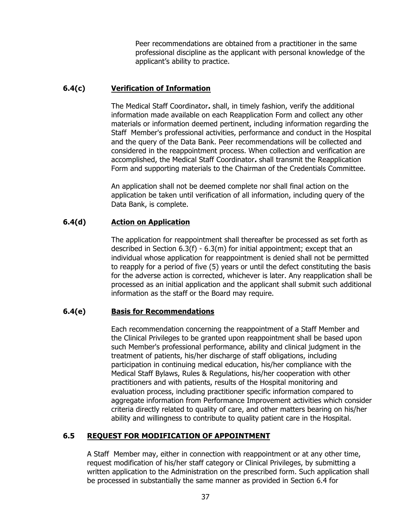Peer recommendations are obtained from a practitioner in the same professional discipline as the applicant with personal knowledge of the applicant's ability to practice.

# **6.4(c) Verification of Information**

The Medical Staff Coordinator**.** shall, in timely fashion, verify the additional information made available on each Reapplication Form and collect any other materials or information deemed pertinent, including information regarding the Staff Member's professional activities, performance and conduct in the Hospital and the query of the Data Bank. Peer recommendations will be collected and considered in the reappointment process. When collection and verification are accomplished, the Medical Staff Coordinator**.** shall transmit the Reapplication Form and supporting materials to the Chairman of the Credentials Committee.

An application shall not be deemed complete nor shall final action on the application be taken until verification of all information, including query of the Data Bank, is complete.

### **6.4(d) Action on Application**

The application for reappointment shall thereafter be processed as set forth as described in Section 6.3(f) - 6.3(m) for initial appointment; except that an individual whose application for reappointment is denied shall not be permitted to reapply for a period of five (5) years or until the defect constituting the basis for the adverse action is corrected, whichever is later. Any reapplication shall be processed as an initial application and the applicant shall submit such additional information as the staff or the Board may require.

### **6.4(e) Basis for Recommendations**

Each recommendation concerning the reappointment of a Staff Member and the Clinical Privileges to be granted upon reappointment shall be based upon such Member's professional performance, ability and clinical judgment in the treatment of patients, his/her discharge of staff obligations, including participation in continuing medical education, his/her compliance with the Medical Staff Bylaws, Rules & Regulations, his/her cooperation with other practitioners and with patients, results of the Hospital monitoring and evaluation process, including practitioner specific information compared to aggregate information from Performance Improvement activities which consider criteria directly related to quality of care, and other matters bearing on his/her ability and willingness to contribute to quality patient care in the Hospital.

# **6.5 REQUEST FOR MODIFICATION OF APPOINTMENT**

A Staff Member may, either in connection with reappointment or at any other time, request modification of his/her staff category or Clinical Privileges, by submitting a written application to the Administration on the prescribed form. Such application shall be processed in substantially the same manner as provided in Section 6.4 for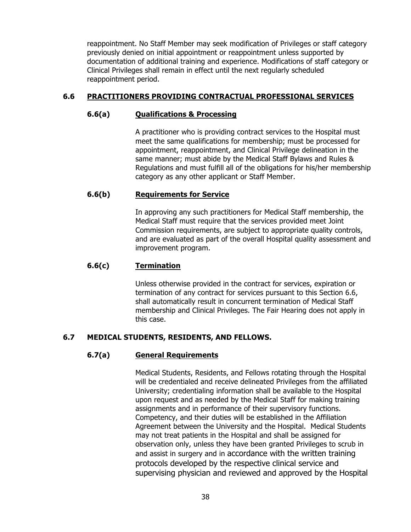reappointment. No Staff Member may seek modification of Privileges or staff category previously denied on initial appointment or reappointment unless supported by documentation of additional training and experience. Modifications of staff category or Clinical Privileges shall remain in effect until the next regularly scheduled reappointment period.

# **6.6 PRACTITIONERS PROVIDING CONTRACTUAL PROFESSIONAL SERVICES**

# **6.6(a) Qualifications & Processing**

A practitioner who is providing contract services to the Hospital must meet the same qualifications for membership; must be processed for appointment, reappointment, and Clinical Privilege delineation in the same manner; must abide by the Medical Staff Bylaws and Rules & Regulations and must fulfill all of the obligations for his/her membership category as any other applicant or Staff Member.

# **6.6(b) Requirements for Service**

In approving any such practitioners for Medical Staff membership, the Medical Staff must require that the services provided meet Joint Commission requirements, are subject to appropriate quality controls, and are evaluated as part of the overall Hospital quality assessment and improvement program.

# **6.6(c) Termination**

Unless otherwise provided in the contract for services, expiration or termination of any contract for services pursuant to this Section 6.6, shall automatically result in concurrent termination of Medical Staff membership and Clinical Privileges. The Fair Hearing does not apply in this case.

# **6.7 MEDICAL STUDENTS, RESIDENTS, AND FELLOWS.**

# **6.7(a) General Requirements**

Medical Students, Residents, and Fellows rotating through the Hospital will be credentialed and receive delineated Privileges from the affiliated University; credentialing information shall be available to the Hospital upon request and as needed by the Medical Staff for making training assignments and in performance of their supervisory functions. Competency, and their duties will be established in the Affiliation Agreement between the University and the Hospital. Medical Students may not treat patients in the Hospital and shall be assigned for observation only, unless they have been granted Privileges to scrub in and assist in surgery and in accordance with the written training protocols developed by the respective clinical service and supervising physician and reviewed and approved by the Hospital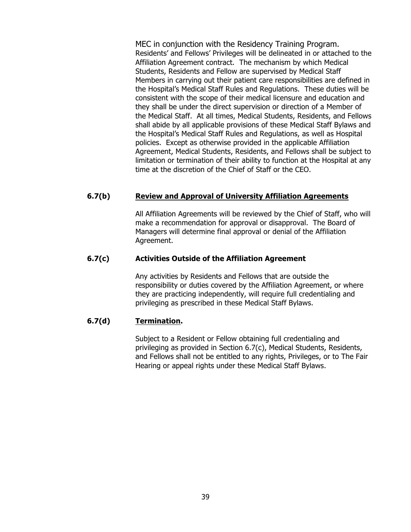MEC in conjunction with the Residency Training Program. Residents' and Fellows' Privileges will be delineated in or attached to the Affiliation Agreement contract. The mechanism by which Medical Students, Residents and Fellow are supervised by Medical Staff Members in carrying out their patient care responsibilities are defined in the Hospital's Medical Staff Rules and Regulations. These duties will be consistent with the scope of their medical licensure and education and they shall be under the direct supervision or direction of a Member of the Medical Staff. At all times, Medical Students, Residents, and Fellows shall abide by all applicable provisions of these Medical Staff Bylaws and the Hospital's Medical Staff Rules and Regulations, as well as Hospital policies. Except as otherwise provided in the applicable Affiliation Agreement, Medical Students, Residents, and Fellows shall be subject to limitation or termination of their ability to function at the Hospital at any time at the discretion of the Chief of Staff or the CEO.

# **6.7(b) Review and Approval of University Affiliation Agreements**

All Affiliation Agreements will be reviewed by the Chief of Staff, who will make a recommendation for approval or disapproval. The Board of Managers will determine final approval or denial of the Affiliation Agreement.

### **6.7(c) Activities Outside of the Affiliation Agreement**

Any activities by Residents and Fellows that are outside the responsibility or duties covered by the Affiliation Agreement, or where they are practicing independently, will require full credentialing and privileging as prescribed in these Medical Staff Bylaws.

### **6.7(d) Termination.**

Subject to a Resident or Fellow obtaining full credentialing and privileging as provided in Section 6.7(c), Medical Students, Residents, and Fellows shall not be entitled to any rights, Privileges, or to The Fair Hearing or appeal rights under these Medical Staff Bylaws.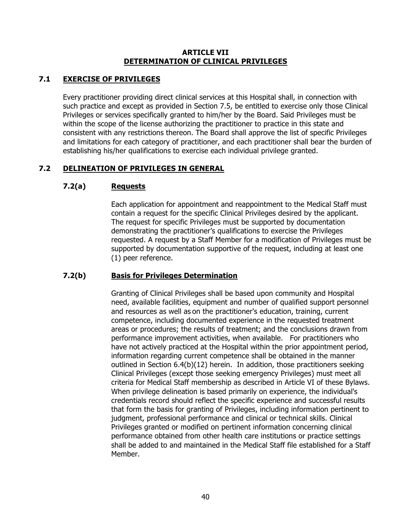### **ARTICLE VII DETERMINATION OF CLINICAL PRIVILEGES**

# **7.1 EXERCISE OF PRIVILEGES**

Every practitioner providing direct clinical services at this Hospital shall, in connection with such practice and except as provided in Section 7.5, be entitled to exercise only those Clinical Privileges or services specifically granted to him/her by the Board. Said Privileges must be within the scope of the license authorizing the practitioner to practice in this state and consistent with any restrictions thereon. The Board shall approve the list of specific Privileges and limitations for each category of practitioner, and each practitioner shall bear the burden of establishing his/her qualifications to exercise each individual privilege granted.

# **7.2 DELINEATION OF PRIVILEGES IN GENERAL**

# **7.2(a) Requests**

Each application for appointment and reappointment to the Medical Staff must contain a request for the specific Clinical Privileges desired by the applicant. The request for specific Privileges must be supported by documentation demonstrating the practitioner's qualifications to exercise the Privileges requested. A request by a Staff Member for a modification of Privileges must be supported by documentation supportive of the request, including at least one (1) peer reference.

# **7.2(b) Basis for Privileges Determination**

Granting of Clinical Privileges shall be based upon community and Hospital need, available facilities, equipment and number of qualified support personnel and resources as well as on the practitioner's education, training, current competence, including documented experience in the requested treatment areas or procedures; the results of treatment; and the conclusions drawn from performance improvement activities, when available. For practitioners who have not actively practiced at the Hospital within the prior appointment period, information regarding current competence shall be obtained in the manner outlined in Section 6.4(b)(12) herein. In addition, those practitioners seeking Clinical Privileges (except those seeking emergency Privileges) must meet all criteria for Medical Staff membership as described in Article VI of these Bylaws. When privilege delineation is based primarily on experience, the individual's credentials record should reflect the specific experience and successful results that form the basis for granting of Privileges, including information pertinent to judgment, professional performance and clinical or technical skills. Clinical Privileges granted or modified on pertinent information concerning clinical performance obtained from other health care institutions or practice settings shall be added to and maintained in the Medical Staff file established for a Staff Member.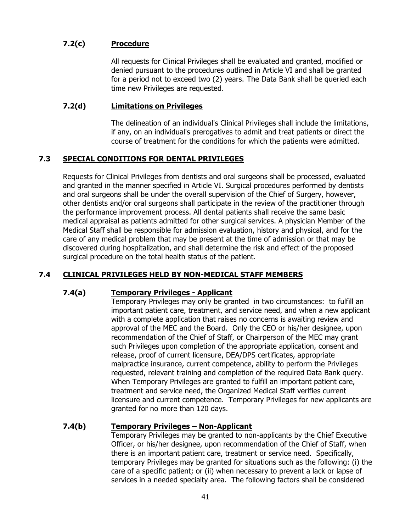# **7.2(c) Procedure**

All requests for Clinical Privileges shall be evaluated and granted, modified or denied pursuant to the procedures outlined in Article VI and shall be granted for a period not to exceed two (2) years.The Data Bank shall be queried each time new Privileges are requested.

### **7.2(d) Limitations on Privileges**

The delineation of an individual's Clinical Privileges shall include the limitations, if any, on an individual's prerogatives to admit and treat patients or direct the course of treatment for the conditions for which the patients were admitted.

# **7.3 SPECIAL CONDITIONS FOR DENTAL PRIVILEGES**

Requests for Clinical Privileges from dentists and oral surgeons shall be processed, evaluated and granted in the manner specified in Article VI. Surgical procedures performed by dentists and oral surgeons shall be under the overall supervision of the Chief of Surgery, however, other dentists and/or oral surgeons shall participate in the review of the practitioner through the performance improvement process. All dental patients shall receive the same basic medical appraisal as patients admitted for other surgical services. A physician Member of the Medical Staff shall be responsible for admission evaluation, history and physical, and for the care of any medical problem that may be present at the time of admission or that may be discovered during hospitalization, and shall determine the risk and effect of the proposed surgical procedure on the total health status of the patient.

# **7.4 CLINICAL PRIVILEGES HELD BY NON-MEDICAL STAFF MEMBERS**

### **7.4(a) Temporary Privileges - Applicant**

Temporary Privileges may only be granted in two circumstances: to fulfill an important patient care, treatment, and service need, and when a new applicant with a complete application that raises no concerns is awaiting review and approval of the MEC and the Board. Only the CEO or his/her designee, upon recommendation of the Chief of Staff, or Chairperson of the MEC may grant such Privileges upon completion of the appropriate application, consent and release, proof of current licensure, DEA/DPS certificates, appropriate malpractice insurance, current competence, ability to perform the Privileges requested, relevant training and completion of the required Data Bank query. When Temporary Privileges are granted to fulfill an important patient care, treatment and service need, the Organized Medical Staff verifies current licensure and current competence. Temporary Privileges for new applicants are granted for no more than 120 days.

### **7.4(b) Temporary Privileges – Non-Applicant**

Temporary Privileges may be granted to non-applicants by the Chief Executive Officer, or his/her designee, upon recommendation of the Chief of Staff, when there is an important patient care, treatment or service need. Specifically, temporary Privileges may be granted for situations such as the following: (i) the care of a specific patient; or (ii) when necessary to prevent a lack or lapse of services in a needed specialty area. The following factors shall be considered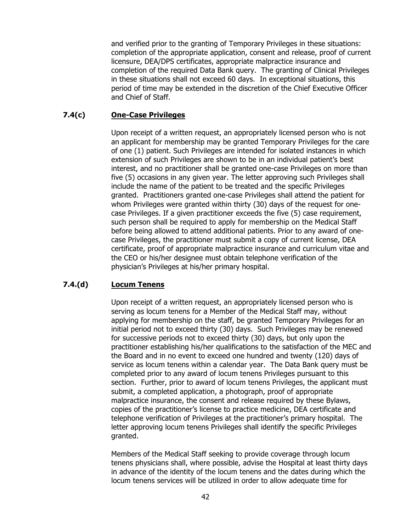and verified prior to the granting of Temporary Privileges in these situations: completion of the appropriate application, consent and release, proof of current licensure, DEA/DPS certificates, appropriate malpractice insurance and completion of the required Data Bank query. The granting of Clinical Privileges in these situations shall not exceed 60 days. In exceptional situations, this period of time may be extended in the discretion of the Chief Executive Officer and Chief of Staff.

### **7.4(c) One-Case Privileges**

Upon receipt of a written request, an appropriately licensed person who is not an applicant for membership may be granted Temporary Privileges for the care of one (1) patient. Such Privileges are intended for isolated instances in which extension of such Privileges are shown to be in an individual patient's best interest, and no practitioner shall be granted one-case Privileges on more than five (5) occasions in any given year. The letter approving such Privileges shall include the name of the patient to be treated and the specific Privileges granted. Practitioners granted one-case Privileges shall attend the patient for whom Privileges were granted within thirty (30) days of the request for onecase Privileges. If a given practitioner exceeds the five (5) case requirement, such person shall be required to apply for membership on the Medical Staff before being allowed to attend additional patients. Prior to any award of onecase Privileges, the practitioner must submit a copy of current license, DEA certificate, proof of appropriate malpractice insurance and curriculum vitae and the CEO or his/her designee must obtain telephone verification of the physician's Privileges at his/her primary hospital.

# **7.4.(d) Locum Tenens**

Upon receipt of a written request, an appropriately licensed person who is serving as locum tenens for a Member of the Medical Staff may, without applying for membership on the staff, be granted Temporary Privileges for an initial period not to exceed thirty (30) days. Such Privileges may be renewed for successive periods not to exceed thirty (30) days, but only upon the practitioner establishing his/her qualifications to the satisfaction of the MEC and the Board and in no event to exceed one hundred and twenty (120) days of service as locum tenens within a calendar year. The Data Bank query must be completed prior to any award of locum tenens Privileges pursuant to this section. Further, prior to award of locum tenens Privileges, the applicant must submit, a completed application, a photograph, proof of appropriate malpractice insurance, the consent and release required by these Bylaws, copies of the practitioner's license to practice medicine, DEA certificate and telephone verification of Privileges at the practitioner's primary hospital. The letter approving locum tenens Privileges shall identify the specific Privileges granted.

Members of the Medical Staff seeking to provide coverage through locum tenens physicians shall, where possible, advise the Hospital at least thirty days in advance of the identity of the locum tenens and the dates during which the locum tenens services will be utilized in order to allow adequate time for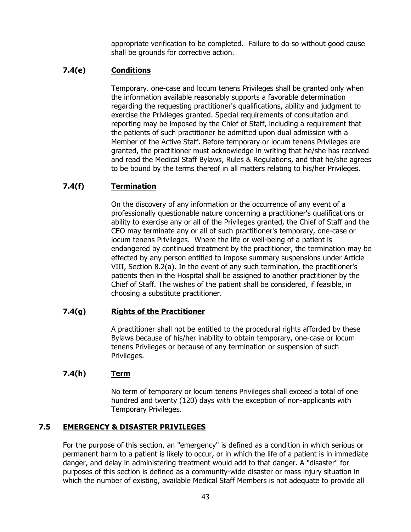appropriate verification to be completed. Failure to do so without good cause shall be grounds for corrective action.

# **7.4(e) Conditions**

Temporary. one-case and locum tenens Privileges shall be granted only when the information available reasonably supports a favorable determination regarding the requesting practitioner's qualifications, ability and judgment to exercise the Privileges granted. Special requirements of consultation and reporting may be imposed by the Chief of Staff, including a requirement that the patients of such practitioner be admitted upon dual admission with a Member of the Active Staff. Before temporary or locum tenens Privileges are granted, the practitioner must acknowledge in writing that he/she has received and read the Medical Staff Bylaws, Rules & Regulations, and that he/she agrees to be bound by the terms thereof in all matters relating to his/her Privileges.

# **7.4(f) Termination**

On the discovery of any information or the occurrence of any event of a professionally questionable nature concerning a practitioner's qualifications or ability to exercise any or all of the Privileges granted, the Chief of Staff and the CEO may terminate any or all of such practitioner's temporary, one-case or locum tenens Privileges. Where the life or well-being of a patient is endangered by continued treatment by the practitioner, the termination may be effected by any person entitled to impose summary suspensions under Article VIII, Section 8.2(a). In the event of any such termination, the practitioner's patients then in the Hospital shall be assigned to another practitioner by the Chief of Staff. The wishes of the patient shall be considered, if feasible, in choosing a substitute practitioner.

### **7.4(g) Rights of the Practitioner**

A practitioner shall not be entitled to the procedural rights afforded by these Bylaws because of his/her inability to obtain temporary, one-case or locum tenens Privileges or because of any termination or suspension of such Privileges.

# **7.4(h) Term**

No term of temporary or locum tenens Privileges shall exceed a total of one hundred and twenty (120) days with the exception of non-applicants with Temporary Privileges.

# **7.5 EMERGENCY & DISASTER PRIVILEGES**

For the purpose of this section, an "emergency" is defined as a condition in which serious or permanent harm to a patient is likely to occur, or in which the life of a patient is in immediate danger, and delay in administering treatment would add to that danger. A "disaster" for purposes of this section is defined as a community-wide disaster or mass injury situation in which the number of existing, available Medical Staff Members is not adequate to provide all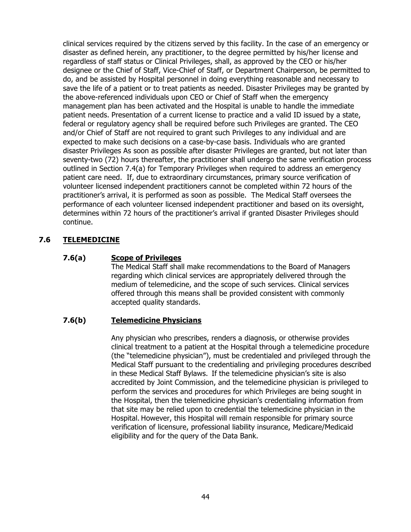clinical services required by the citizens served by this facility. In the case of an emergency or disaster as defined herein, any practitioner, to the degree permitted by his/her license and regardless of staff status or Clinical Privileges, shall, as approved by the CEO or his/her designee or the Chief of Staff, Vice-Chief of Staff, or Department Chairperson, be permitted to do, and be assisted by Hospital personnel in doing everything reasonable and necessary to save the life of a patient or to treat patients as needed. Disaster Privileges may be granted by the above-referenced individuals upon CEO or Chief of Staff when the emergency management plan has been activated and the Hospital is unable to handle the immediate patient needs. Presentation of a current license to practice and a valid ID issued by a state, federal or regulatory agency shall be required before such Privileges are granted. The CEO and/or Chief of Staff are not required to grant such Privileges to any individual and are expected to make such decisions on a case-by-case basis. Individuals who are granted disaster Privileges As soon as possible after disaster Privileges are granted, but not later than seventy-two (72) hours thereafter, the practitioner shall undergo the same verification process outlined in Section 7.4(a) for Temporary Privileges when required to address an emergency patient care need. If, due to extraordinary circumstances, primary source verification of volunteer licensed independent practitioners cannot be completed within 72 hours of the practitioner's arrival, it is performed as soon as possible. The Medical Staff oversees the performance of each volunteer licensed independent practitioner and based on its oversight, determines within 72 hours of the practitioner's arrival if granted Disaster Privileges should continue.

# **7.6 TELEMEDICINE**

### **7.6(a) Scope of Privileges**

The Medical Staff shall make recommendations to the Board of Managers regarding which clinical services are appropriately delivered through the medium of telemedicine, and the scope of such services. Clinical services offered through this means shall be provided consistent with commonly accepted quality standards.

### **7.6(b) Telemedicine Physicians**

Any physician who prescribes, renders a diagnosis, or otherwise provides clinical treatment to a patient at the Hospital through a telemedicine procedure (the "telemedicine physician"), must be credentialed and privileged through the Medical Staff pursuant to the credentialing and privileging procedures described in these Medical Staff Bylaws. If the telemedicine physician's site is also accredited by Joint Commission, and the telemedicine physician is privileged to perform the services and procedures for which Privileges are being sought in the Hospital, then the telemedicine physician's credentialing information from that site may be relied upon to credential the telemedicine physician in the Hospital. However, this Hospital will remain responsible for primary source verification of licensure, professional liability insurance, Medicare/Medicaid eligibility and for the query of the Data Bank.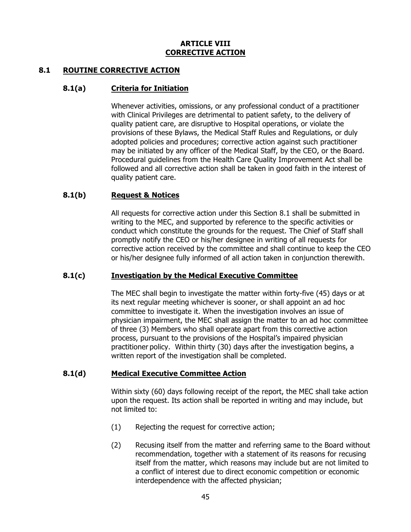#### **ARTICLE VIII CORRECTIVE ACTION**

### **8.1 ROUTINE CORRECTIVE ACTION**

### **8.1(a) Criteria for Initiation**

Whenever activities, omissions, or any professional conduct of a practitioner with Clinical Privileges are detrimental to patient safety, to the delivery of quality patient care, are disruptive to Hospital operations, or violate the provisions of these Bylaws, the Medical Staff Rules and Regulations, or duly adopted policies and procedures; corrective action against such practitioner may be initiated by any officer of the Medical Staff, by the CEO, or the Board. Procedural guidelines from the Health Care Quality Improvement Act shall be followed and all corrective action shall be taken in good faith in the interest of quality patient care.

### **8.1(b) Request & Notices**

All requests for corrective action under this Section 8.1 shall be submitted in writing to the MEC, and supported by reference to the specific activities or conduct which constitute the grounds for the request. The Chief of Staff shall promptly notify the CEO or his/her designee in writing of all requests for corrective action received by the committee and shall continue to keep the CEO or his/her designee fully informed of all action taken in conjunction therewith.

### **8.1(c) Investigation by the Medical Executive Committee**

The MEC shall begin to investigate the matter within forty-five (45) days or at its next regular meeting whichever is sooner, or shall appoint an ad hoc committee to investigate it. When the investigation involves an issue of physician impairment, the MEC shall assign the matter to an ad hoc committee of three (3) Members who shall operate apart from this corrective action process, pursuant to the provisions of the Hospital's impaired physician practitioner policy. Within thirty (30) days after the investigation begins, a written report of the investigation shall be completed.

# **8.1(d) Medical Executive Committee Action**

Within sixty (60) days following receipt of the report, the MEC shall take action upon the request. Its action shall be reported in writing and may include, but not limited to:

- (1) Rejecting the request for corrective action;
- (2) Recusing itself from the matter and referring same to the Board without recommendation, together with a statement of its reasons for recusing itself from the matter, which reasons may include but are not limited to a conflict of interest due to direct economic competition or economic interdependence with the affected physician;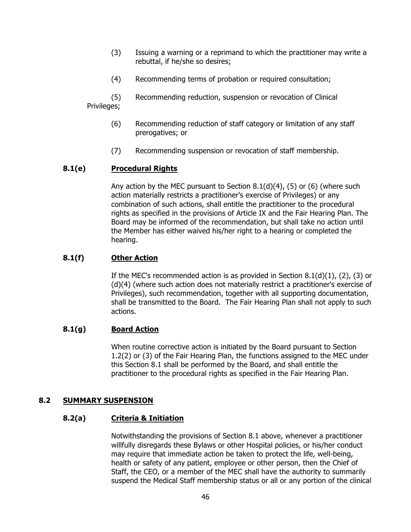- (3) Issuing a warning or a reprimand to which the practitioner may write a rebuttal, if he/she so desires;
- (4) Recommending terms of probation or required consultation;
- (5) Recommending reduction, suspension or revocation of Clinical

# Privileges;

- (6) Recommending reduction of staff category or limitation of any staff prerogatives; or
- (7) Recommending suspension or revocation of staff membership.

# **8.1(e) Procedural Rights**

Any action by the MEC pursuant to Section  $8.1(d)(4)$ , (5) or (6) (where such action materially restricts a practitioner's exercise of Privileges) or any combination of such actions, shall entitle the practitioner to the procedural rights as specified in the provisions of Article IX and the Fair Hearing Plan. The Board may be informed of the recommendation, but shall take no action until the Member has either waived his/her right to a hearing or completed the hearing.

# **8.1(f) Other Action**

If the MEC's recommended action is as provided in Section 8.1(d)(1), (2), (3) or (d)(4) (where such action does not materially restrict a practitioner's exercise of Privileges), such recommendation, together with all supporting documentation, shall be transmitted to the Board. The Fair Hearing Plan shall not apply to such actions.

# **8.1(g) Board Action**

When routine corrective action is initiated by the Board pursuant to Section 1.2(2) or (3) of the Fair Hearing Plan, the functions assigned to the MEC under this Section 8.1 shall be performed by the Board, and shall entitle the practitioner to the procedural rights as specified in the Fair Hearing Plan.

### **8.2 SUMMARY SUSPENSION**

### **8.2(a) Criteria & Initiation**

Notwithstanding the provisions of Section 8.1 above, whenever a practitioner willfully disregards these Bylaws or other Hospital policies, or his/her conduct may require that immediate action be taken to protect the life, well-being, health or safety of any patient, employee or other person, then the Chief of Staff, the CEO, or a member of the MEC shall have the authority to summarily suspend the Medical Staff membership status or all or any portion of the clinical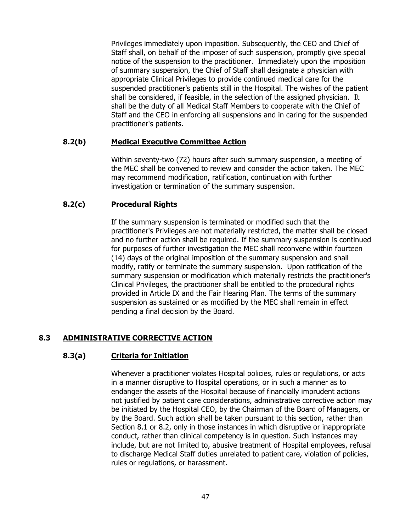Privileges immediately upon imposition. Subsequently, the CEO and Chief of Staff shall, on behalf of the imposer of such suspension, promptly give special notice of the suspension to the practitioner. Immediately upon the imposition of summary suspension, the Chief of Staff shall designate a physician with appropriate Clinical Privileges to provide continued medical care for the suspended practitioner's patients still in the Hospital. The wishes of the patient shall be considered, if feasible, in the selection of the assigned physician. It shall be the duty of all Medical Staff Members to cooperate with the Chief of Staff and the CEO in enforcing all suspensions and in caring for the suspended practitioner's patients.

### **8.2(b) Medical Executive Committee Action**

Within seventy-two (72) hours after such summary suspension, a meeting of the MEC shall be convened to review and consider the action taken. The MEC may recommend modification, ratification, continuation with further investigation or termination of the summary suspension.

# **8.2(c) Procedural Rights**

If the summary suspension is terminated or modified such that the practitioner's Privileges are not materially restricted, the matter shall be closed and no further action shall be required. If the summary suspension is continued for purposes of further investigation the MEC shall reconvene within fourteen (14) days of the original imposition of the summary suspension and shall modify, ratify or terminate the summary suspension. Upon ratification of the summary suspension or modification which materially restricts the practitioner's Clinical Privileges, the practitioner shall be entitled to the procedural rights provided in Article IX and the Fair Hearing Plan. The terms of the summary suspension as sustained or as modified by the MEC shall remain in effect pending a final decision by the Board.

# **8.3 ADMINISTRATIVE CORRECTIVE ACTION**

### **8.3(a) Criteria for Initiation**

Whenever a practitioner violates Hospital policies, rules or regulations, or acts in a manner disruptive to Hospital operations, or in such a manner as to endanger the assets of the Hospital because of financially imprudent actions not justified by patient care considerations, administrative corrective action may be initiated by the Hospital CEO, by the Chairman of the Board of Managers, or by the Board. Such action shall be taken pursuant to this section, rather than Section 8.1 or 8.2, only in those instances in which disruptive or inappropriate conduct, rather than clinical competency is in question. Such instances may include, but are not limited to, abusive treatment of Hospital employees, refusal to discharge Medical Staff duties unrelated to patient care, violation of policies, rules or regulations, or harassment.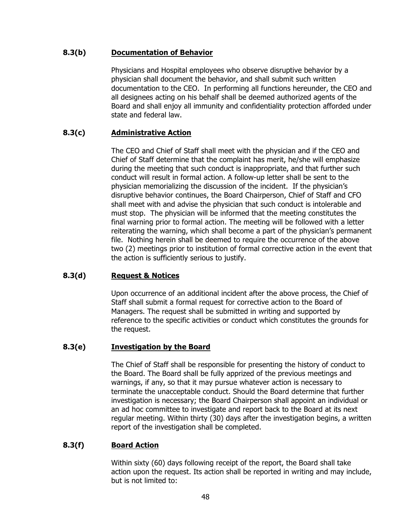## **8.3(b) Documentation of Behavior**

Physicians and Hospital employees who observe disruptive behavior by a physician shall document the behavior, and shall submit such written documentation to the CEO. In performing all functions hereunder, the CEO and all designees acting on his behalf shall be deemed authorized agents of the Board and shall enjoy all immunity and confidentiality protection afforded under state and federal law.

# **8.3(c) Administrative Action**

The CEO and Chief of Staff shall meet with the physician and if the CEO and Chief of Staff determine that the complaint has merit, he/she will emphasize during the meeting that such conduct is inappropriate, and that further such conduct will result in formal action. A follow-up letter shall be sent to the physician memorializing the discussion of the incident. If the physician's disruptive behavior continues, the Board Chairperson, Chief of Staff and CFO shall meet with and advise the physician that such conduct is intolerable and must stop. The physician will be informed that the meeting constitutes the final warning prior to formal action. The meeting will be followed with a letter reiterating the warning, which shall become a part of the physician's permanent file. Nothing herein shall be deemed to require the occurrence of the above two (2) meetings prior to institution of formal corrective action in the event that the action is sufficiently serious to justify.

# **8.3(d) Request & Notices**

Upon occurrence of an additional incident after the above process, the Chief of Staff shall submit a formal request for corrective action to the Board of Managers. The request shall be submitted in writing and supported by reference to the specific activities or conduct which constitutes the grounds for the request.

# **8.3(e) Investigation by the Board**

The Chief of Staff shall be responsible for presenting the history of conduct to the Board. The Board shall be fully apprized of the previous meetings and warnings, if any, so that it may pursue whatever action is necessary to terminate the unacceptable conduct. Should the Board determine that further investigation is necessary; the Board Chairperson shall appoint an individual or an ad hoc committee to investigate and report back to the Board at its next regular meeting. Within thirty (30) days after the investigation begins, a written report of the investigation shall be completed.

# **8.3(f) Board Action**

Within sixty (60) days following receipt of the report, the Board shall take action upon the request. Its action shall be reported in writing and may include, but is not limited to: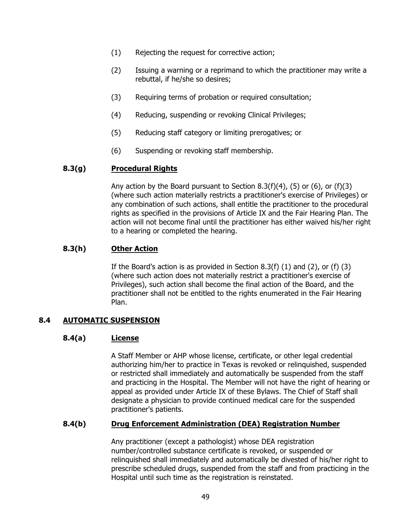- (1) Rejecting the request for corrective action;
- (2) Issuing a warning or a reprimand to which the practitioner may write a rebuttal, if he/she so desires;
- (3) Requiring terms of probation or required consultation;
- (4) Reducing, suspending or revoking Clinical Privileges;
- (5) Reducing staff category or limiting prerogatives; or
- (6) Suspending or revoking staff membership.

### **8.3(g) Procedural Rights**

Any action by the Board pursuant to Section 8.3(f)(4), (5) or (6), or (f)(3) (where such action materially restricts a practitioner's exercise of Privileges) or any combination of such actions, shall entitle the practitioner to the procedural rights as specified in the provisions of Article IX and the Fair Hearing Plan. The action will not become final until the practitioner has either waived his/her right to a hearing or completed the hearing.

# **8.3(h) Other Action**

If the Board's action is as provided in Section 8.3(f) (1) and (2), or (f) (3) (where such action does not materially restrict a practitioner's exercise of Privileges), such action shall become the final action of the Board, and the practitioner shall not be entitled to the rights enumerated in the Fair Hearing Plan.

# **8.4 AUTOMATIC SUSPENSION**

### **8.4(a) License**

A Staff Member or AHP whose license, certificate, or other legal credential authorizing him/her to practice in Texas is revoked or relinquished, suspended or restricted shall immediately and automatically be suspended from the staff and practicing in the Hospital. The Member will not have the right of hearing or appeal as provided under Article IX of these Bylaws. The Chief of Staff shall designate a physician to provide continued medical care for the suspended practitioner's patients.

### **8.4(b) Drug Enforcement Administration (DEA) Registration Number**

Any practitioner (except a pathologist) whose DEA registration number/controlled substance certificate is revoked, or suspended or relinquished shall immediately and automatically be divested of his/her right to prescribe scheduled drugs, suspended from the staff and from practicing in the Hospital until such time as the registration is reinstated.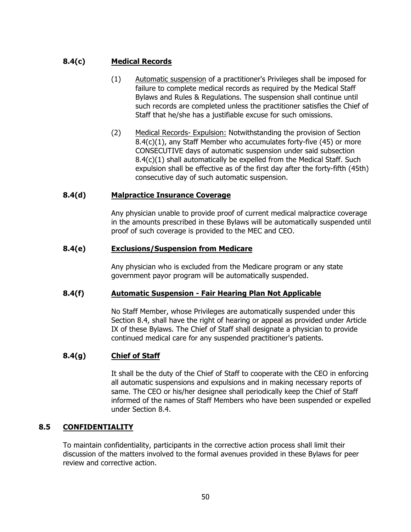# **8.4(c) Medical Records**

- (1) Automatic suspension of a practitioner's Privileges shall be imposed for failure to complete medical records as required by the Medical Staff Bylaws and Rules & Regulations. The suspension shall continue until such records are completed unless the practitioner satisfies the Chief of Staff that he/she has a justifiable excuse for such omissions.
- (2) Medical Records- Expulsion: Notwithstanding the provision of Section 8.4(c)(1), any Staff Member who accumulates forty-five (45) or more CONSECUTIVE days of automatic suspension under said subsection 8.4(c)(1) shall automatically be expelled from the Medical Staff. Such expulsion shall be effective as of the first day after the forty-fifth (45th) consecutive day of such automatic suspension.

### **8.4(d) Malpractice Insurance Coverage**

Any physician unable to provide proof of current medical malpractice coverage in the amounts prescribed in these Bylaws will be automatically suspended until proof of such coverage is provided to the MEC and CEO.

### **8.4(e) Exclusions/Suspension from Medicare**

Any physician who is excluded from the Medicare program or any state government payor program will be automatically suspended.

### **8.4(f) Automatic Suspension - Fair Hearing Plan Not Applicable**

No Staff Member, whose Privileges are automatically suspended under this Section 8.4, shall have the right of hearing or appeal as provided under Article IX of these Bylaws. The Chief of Staff shall designate a physician to provide continued medical care for any suspended practitioner's patients.

# **8.4(g) Chief of Staff**

It shall be the duty of the Chief of Staff to cooperate with the CEO in enforcing all automatic suspensions and expulsions and in making necessary reports of same. The CEO or his/her designee shall periodically keep the Chief of Staff informed of the names of Staff Members who have been suspended or expelled under Section 8.4.

### **8.5 CONFIDENTIALITY**

To maintain confidentiality, participants in the corrective action process shall limit their discussion of the matters involved to the formal avenues provided in these Bylaws for peer review and corrective action.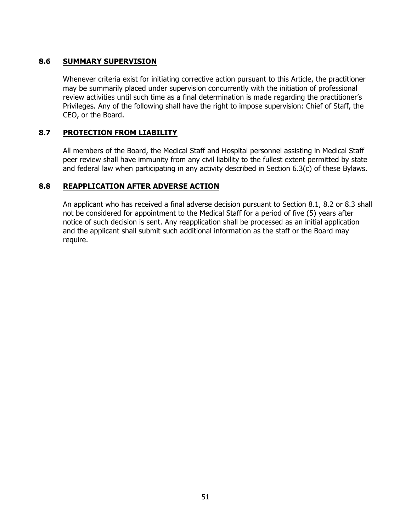# **8.6 SUMMARY SUPERVISION**

Whenever criteria exist for initiating corrective action pursuant to this Article, the practitioner may be summarily placed under supervision concurrently with the initiation of professional review activities until such time as a final determination is made regarding the practitioner's Privileges. Any of the following shall have the right to impose supervision: Chief of Staff, the CEO, or the Board.

## **8.7 PROTECTION FROM LIABILITY**

All members of the Board, the Medical Staff and Hospital personnel assisting in Medical Staff peer review shall have immunity from any civil liability to the fullest extent permitted by state and federal law when participating in any activity described in Section 6.3(c) of these Bylaws.

### **8.8 REAPPLICATION AFTER ADVERSE ACTION**

An applicant who has received a final adverse decision pursuant to Section 8.1, 8.2 or 8.3 shall not be considered for appointment to the Medical Staff for a period of five (5) years after notice of such decision is sent. Any reapplication shall be processed as an initial application and the applicant shall submit such additional information as the staff or the Board may require.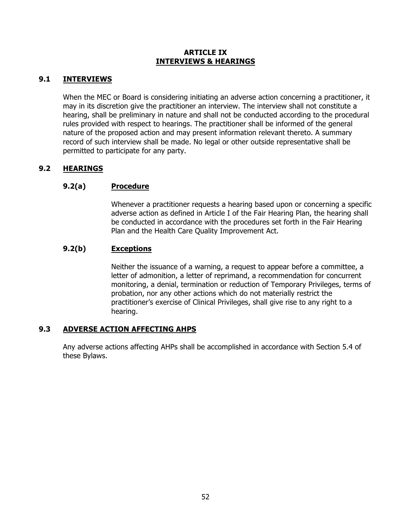### **ARTICLE IX INTERVIEWS & HEARINGS**

# **9.1 INTERVIEWS**

When the MEC or Board is considering initiating an adverse action concerning a practitioner, it may in its discretion give the practitioner an interview. The interview shall not constitute a hearing, shall be preliminary in nature and shall not be conducted according to the procedural rules provided with respect to hearings. The practitioner shall be informed of the general nature of the proposed action and may present information relevant thereto. A summary record of such interview shall be made. No legal or other outside representative shall be permitted to participate for any party.

# **9.2 HEARINGS**

# **9.2(a) Procedure**

Whenever a practitioner requests a hearing based upon or concerning a specific adverse action as defined in Article I of the Fair Hearing Plan, the hearing shall be conducted in accordance with the procedures set forth in the Fair Hearing Plan and the Health Care Quality Improvement Act.

# **9.2(b) Exceptions**

Neither the issuance of a warning, a request to appear before a committee, a letter of admonition, a letter of reprimand, a recommendation for concurrent monitoring, a denial, termination or reduction of Temporary Privileges, terms of probation, nor any other actions which do not materially restrict the practitioner's exercise of Clinical Privileges, shall give rise to any right to a hearing.

# **9.3 ADVERSE ACTION AFFECTING AHPS**

Any adverse actions affecting AHPs shall be accomplished in accordance with Section 5.4 of these Bylaws.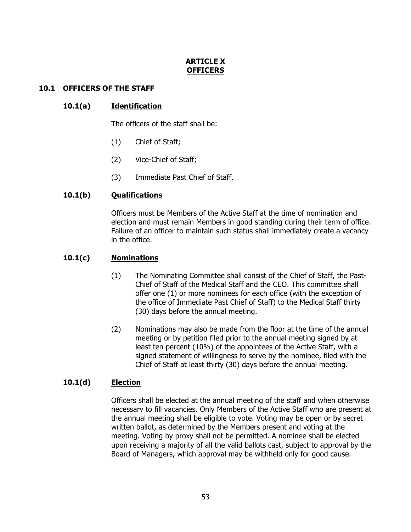# **ARTICLE X OFFICERS**

## **10.1 OFFICERS OF THE STAFF**

# **10.1(a) Identification**

The officers of the staff shall be:

- (1) Chief of Staff;
- (2) Vice-Chief of Staff;
- (3) Immediate Past Chief of Staff.

### **10.1(b) Qualifications**

Officers must be Members of the Active Staff at the time of nomination and election and must remain Members in good standing during their term of office. Failure of an officer to maintain such status shall immediately create a vacancy in the office.

### **10.1(c) Nominations**

- (1) The Nominating Committee shall consist of the Chief of Staff, the Past-Chief of Staff of the Medical Staff and the CEO. This committee shall offer one (1) or more nominees for each office (with the exception of the office of Immediate Past Chief of Staff) to the Medical Staff thirty (30) days before the annual meeting.
- (2) Nominations may also be made from the floor at the time of the annual meeting or by petition filed prior to the annual meeting signed by at least ten percent (10%) of the appointees of the Active Staff, with a signed statement of willingness to serve by the nominee, filed with the Chief of Staff at least thirty (30) days before the annual meeting.

### **10.1(d) Election**

Officers shall be elected at the annual meeting of the staff and when otherwise necessary to fill vacancies. Only Members of the Active Staff who are present at the annual meeting shall be eligible to vote. Voting may be open or by secret written ballot, as determined by the Members present and voting at the meeting. Voting by proxy shall not be permitted. A nominee shall be elected upon receiving a majority of all the valid ballots cast, subject to approval by the Board of Managers, which approval may be withheld only for good cause.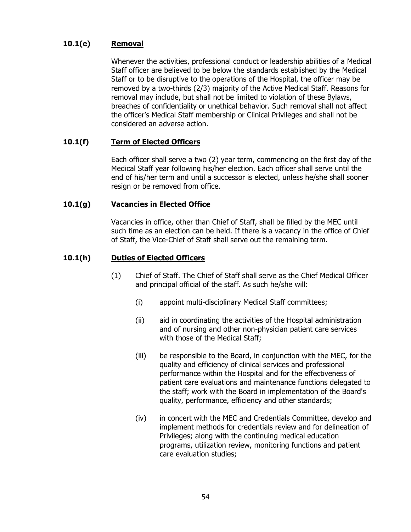# **10.1(e) Removal**

Whenever the activities, professional conduct or leadership abilities of a Medical Staff officer are believed to be below the standards established by the Medical Staff or to be disruptive to the operations of the Hospital, the officer may be removed by a two-thirds (2/3) majority of the Active Medical Staff. Reasons for removal may include, but shall not be limited to violation of these Bylaws, breaches of confidentiality or unethical behavior. Such removal shall not affect the officer's Medical Staff membership or Clinical Privileges and shall not be considered an adverse action.

# **10.1(f) Term of Elected Officers**

Each officer shall serve a two (2) year term, commencing on the first day of the Medical Staff year following his/her election. Each officer shall serve until the end of his/her term and until a successor is elected, unless he/she shall sooner resign or be removed from office.

# **10.1(g) Vacancies in Elected Office**

Vacancies in office, other than Chief of Staff, shall be filled by the MEC until such time as an election can be held. If there is a vacancy in the office of Chief of Staff, the Vice-Chief of Staff shall serve out the remaining term.

### **10.1(h) Duties of Elected Officers**

- (1) Chief of Staff. The Chief of Staff shall serve as the Chief Medical Officer and principal official of the staff. As such he/she will:
	- (i) appoint multi-disciplinary Medical Staff committees;
	- (ii) aid in coordinating the activities of the Hospital administration and of nursing and other non-physician patient care services with those of the Medical Staff;
	- (iii) be responsible to the Board, in conjunction with the MEC, for the quality and efficiency of clinical services and professional performance within the Hospital and for the effectiveness of patient care evaluations and maintenance functions delegated to the staff; work with the Board in implementation of the Board's quality, performance, efficiency and other standards;
	- (iv) in concert with the MEC and Credentials Committee, develop and implement methods for credentials review and for delineation of Privileges; along with the continuing medical education programs, utilization review, monitoring functions and patient care evaluation studies;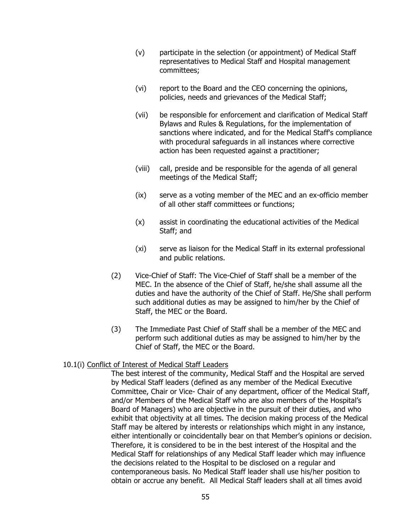- (v) participate in the selection (or appointment) of Medical Staff representatives to Medical Staff and Hospital management committees;
- (vi) report to the Board and the CEO concerning the opinions, policies, needs and grievances of the Medical Staff;
- (vii) be responsible for enforcement and clarification of Medical Staff Bylaws and Rules & Regulations, for the implementation of sanctions where indicated, and for the Medical Staff's compliance with procedural safeguards in all instances where corrective action has been requested against a practitioner;
- (viii) call, preside and be responsible for the agenda of all general meetings of the Medical Staff;
- (ix) serve as a voting member of the MEC and an ex-officio member of all other staff committees or functions;
- (x) assist in coordinating the educational activities of the Medical Staff; and
- (xi) serve as liaison for the Medical Staff in its external professional and public relations.
- (2) Vice-Chief of Staff: The Vice-Chief of Staff shall be a member of the MEC. In the absence of the Chief of Staff, he/she shall assume all the duties and have the authority of the Chief of Staff. He/She shall perform such additional duties as may be assigned to him/her by the Chief of Staff, the MEC or the Board.
- (3) The Immediate Past Chief of Staff shall be a member of the MEC and perform such additional duties as may be assigned to him/her by the Chief of Staff, the MEC or the Board.

### 10.1(i) Conflict of Interest of Medical Staff Leaders

The best interest of the community, Medical Staff and the Hospital are served by Medical Staff leaders (defined as any member of the Medical Executive Committee, Chair or Vice- Chair of any department, officer of the Medical Staff, and/or Members of the Medical Staff who are also members of the Hospital's Board of Managers) who are objective in the pursuit of their duties, and who exhibit that objectivity at all times. The decision making process of the Medical Staff may be altered by interests or relationships which might in any instance, either intentionally or coincidentally bear on that Member's opinions or decision. Therefore, it is considered to be in the best interest of the Hospital and the Medical Staff for relationships of any Medical Staff leader which may influence the decisions related to the Hospital to be disclosed on a regular and contemporaneous basis. No Medical Staff leader shall use his/her position to obtain or accrue any benefit. All Medical Staff leaders shall at all times avoid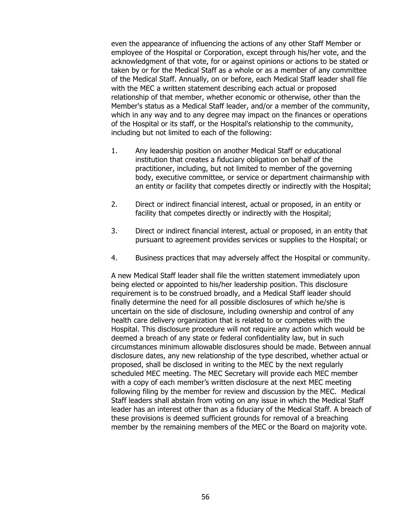even the appearance of influencing the actions of any other Staff Member or employee of the Hospital or Corporation, except through his/her vote, and the acknowledgment of that vote, for or against opinions or actions to be stated or taken by or for the Medical Staff as a whole or as a member of any committee of the Medical Staff. Annually, on or before, each Medical Staff leader shall file with the MEC a written statement describing each actual or proposed relationship of that member, whether economic or otherwise, other than the Member's status as a Medical Staff leader, and/or a member of the community, which in any way and to any degree may impact on the finances or operations of the Hospital or its staff, or the Hospital's relationship to the community, including but not limited to each of the following:

- 1. Any leadership position on another Medical Staff or educational institution that creates a fiduciary obligation on behalf of the practitioner, including, but not limited to member of the governing body, executive committee, or service or department chairmanship with an entity or facility that competes directly or indirectly with the Hospital;
- 2. Direct or indirect financial interest, actual or proposed, in an entity or facility that competes directly or indirectly with the Hospital;
- 3. Direct or indirect financial interest, actual or proposed, in an entity that pursuant to agreement provides services or supplies to the Hospital; or
- 4. Business practices that may adversely affect the Hospital or community.

A new Medical Staff leader shall file the written statement immediately upon being elected or appointed to his/her leadership position. This disclosure requirement is to be construed broadly, and a Medical Staff leader should finally determine the need for all possible disclosures of which he/she is uncertain on the side of disclosure, including ownership and control of any health care delivery organization that is related to or competes with the Hospital. This disclosure procedure will not require any action which would be deemed a breach of any state or federal confidentiality law, but in such circumstances minimum allowable disclosures should be made. Between annual disclosure dates, any new relationship of the type described, whether actual or proposed, shall be disclosed in writing to the MEC by the next regularly scheduled MEC meeting. The MEC Secretary will provide each MEC member with a copy of each member's written disclosure at the next MEC meeting following filing by the member for review and discussion by the MEC. Medical Staff leaders shall abstain from voting on any issue in which the Medical Staff leader has an interest other than as a fiduciary of the Medical Staff. A breach of these provisions is deemed sufficient grounds for removal of a breaching member by the remaining members of the MEC or the Board on majority vote.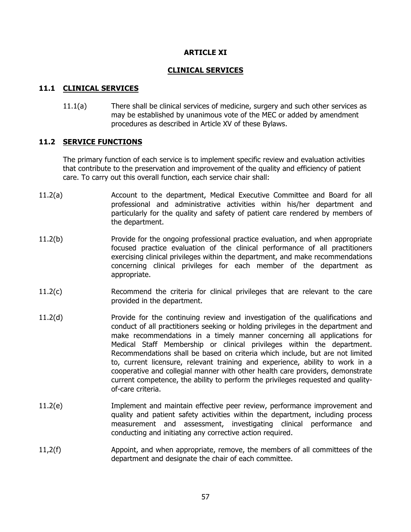### **ARTICLE XI**

### **CLINICAL SERVICES**

# **11.1 CLINICAL SERVICES**

11.1(a) There shall be clinical services of medicine, surgery and such other services as may be established by unanimous vote of the MEC or added by amendment procedures as described in Article XV of these Bylaws.

### **11.2 SERVICE FUNCTIONS**

The primary function of each service is to implement specific review and evaluation activities that contribute to the preservation and improvement of the quality and efficiency of patient care. To carry out this overall function, each service chair shall:

- 11.2(a) Account to the department, Medical Executive Committee and Board for all professional and administrative activities within his/her department and particularly for the quality and safety of patient care rendered by members of the department.
- 11.2(b) Provide for the ongoing professional practice evaluation, and when appropriate focused practice evaluation of the clinical performance of all practitioners exercising clinical privileges within the department, and make recommendations concerning clinical privileges for each member of the department as appropriate.
- 11.2(c) Recommend the criteria for clinical privileges that are relevant to the care provided in the department.
- 11.2(d) Provide for the continuing review and investigation of the qualifications and conduct of all practitioners seeking or holding privileges in the department and make recommendations in a timely manner concerning all applications for Medical Staff Membership or clinical privileges within the department. Recommendations shall be based on criteria which include, but are not limited to, current licensure, relevant training and experience, ability to work in a cooperative and collegial manner with other health care providers, demonstrate current competence, the ability to perform the privileges requested and qualityof-care criteria.
- 11.2(e) Implement and maintain effective peer review, performance improvement and quality and patient safety activities within the department, including process measurement and assessment, investigating clinical performance and conducting and initiating any corrective action required.
- 11,2(f) Appoint, and when appropriate, remove, the members of all committees of the department and designate the chair of each committee.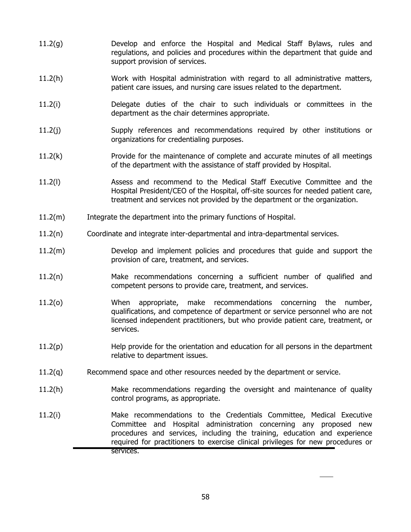- 11.2(g) Develop and enforce the Hospital and Medical Staff Bylaws, rules and regulations, and policies and procedures within the department that guide and support provision of services.
- 11.2(h) Work with Hospital administration with regard to all administrative matters, patient care issues, and nursing care issues related to the department.
- 11.2(i) Delegate duties of the chair to such individuals or committees in the department as the chair determines appropriate.
- 11.2(j) Supply references and recommendations required by other institutions or organizations for credentialing purposes.
- 11.2(k) Provide for the maintenance of complete and accurate minutes of all meetings of the department with the assistance of staff provided by Hospital.
- 11.2(l) Assess and recommend to the Medical Staff Executive Committee and the Hospital President/CEO of the Hospital, off-site sources for needed patient care, treatment and services not provided by the department or the organization.
- 11.2(m) Integrate the department into the primary functions of Hospital.
- 11.2(n) Coordinate and integrate inter-departmental and intra-departmental services.
- 11.2(m) Develop and implement policies and procedures that guide and support the provision of care, treatment, and services.
- 11.2(n) Make recommendations concerning a sufficient number of qualified and competent persons to provide care, treatment, and services.
- 11.2(o) When appropriate, make recommendations concerning the number, qualifications, and competence of department or service personnel who are not licensed independent practitioners, but who provide patient care, treatment, or services.
- 11.2(p) Help provide for the orientation and education for all persons in the department relative to department issues.
- 11.2(q) Recommend space and other resources needed by the department or service.
- 11.2(h) Make recommendations regarding the oversight and maintenance of quality control programs, as appropriate.
- 11.2(i) Make recommendations to the Credentials Committee, Medical Executive Committee and Hospital administration concerning any proposed new procedures and services, including the training, education and experience required for practitioners to exercise clinical privileges for new procedures or services.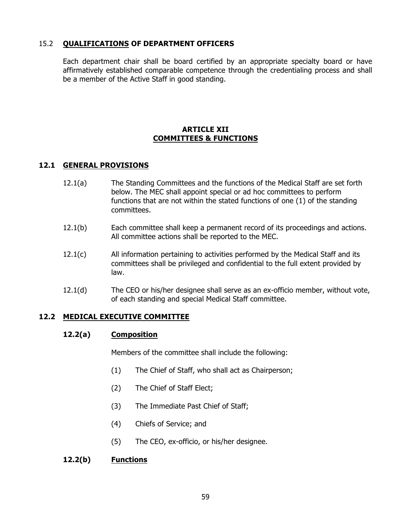## 15.2 **QUALIFICATIONS OF DEPARTMENT OFFICERS**

Each department chair shall be board certified by an appropriate specialty board or have affirmatively established comparable competence through the credentialing process and shall be a member of the Active Staff in good standing.

## **ARTICLE XII COMMITTEES & FUNCTIONS**

### **12.1 GENERAL PROVISIONS**

- 12.1(a) The Standing Committees and the functions of the Medical Staff are set forth below. The MEC shall appoint special or ad hoc committees to perform functions that are not within the stated functions of one (1) of the standing committees.
- 12.1(b) Each committee shall keep a permanent record of its proceedings and actions. All committee actions shall be reported to the MEC.
- 12.1(c) All information pertaining to activities performed by the Medical Staff and its committees shall be privileged and confidential to the full extent provided by law.
- 12.1(d) The CEO or his/her designee shall serve as an ex-officio member, without vote, of each standing and special Medical Staff committee.

### **12.2 MEDICAL EXECUTIVE COMMITTEE**

#### **12.2(a) Composition**

Members of the committee shall include the following:

- (1) The Chief of Staff, who shall act as Chairperson;
- (2) The Chief of Staff Elect;
- (3) The Immediate Past Chief of Staff;
- (4) Chiefs of Service; and
- (5) The CEO, ex-officio, or his/her designee.

### **12.2(b) Functions**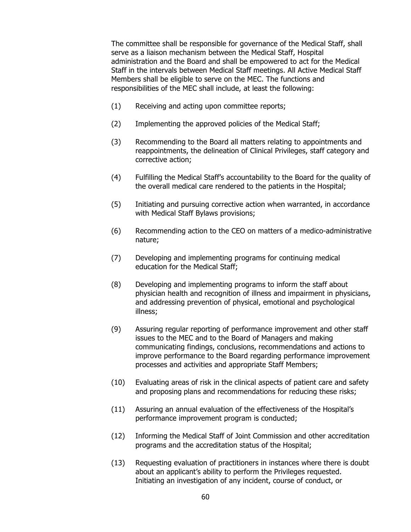The committee shall be responsible for governance of the Medical Staff, shall serve as a liaison mechanism between the Medical Staff, Hospital administration and the Board and shall be empowered to act for the Medical Staff in the intervals between Medical Staff meetings. All Active Medical Staff Members shall be eligible to serve on the MEC. The functions and responsibilities of the MEC shall include, at least the following:

- (1) Receiving and acting upon committee reports;
- (2) Implementing the approved policies of the Medical Staff;
- (3) Recommending to the Board all matters relating to appointments and reappointments, the delineation of Clinical Privileges, staff category and corrective action;
- (4) Fulfilling the Medical Staff's accountability to the Board for the quality of the overall medical care rendered to the patients in the Hospital;
- (5) Initiating and pursuing corrective action when warranted, in accordance with Medical Staff Bylaws provisions;
- (6) Recommending action to the CEO on matters of a medico-administrative nature;
- (7) Developing and implementing programs for continuing medical education for the Medical Staff;
- (8) Developing and implementing programs to inform the staff about physician health and recognition of illness and impairment in physicians, and addressing prevention of physical, emotional and psychological illness;
- (9) Assuring regular reporting of performance improvement and other staff issues to the MEC and to the Board of Managers and making communicating findings, conclusions, recommendations and actions to improve performance to the Board regarding performance improvement processes and activities and appropriate Staff Members;
- (10) Evaluating areas of risk in the clinical aspects of patient care and safety and proposing plans and recommendations for reducing these risks;
- (11) Assuring an annual evaluation of the effectiveness of the Hospital's performance improvement program is conducted;
- (12) Informing the Medical Staff of Joint Commission and other accreditation programs and the accreditation status of the Hospital;
- (13) Requesting evaluation of practitioners in instances where there is doubt about an applicant's ability to perform the Privileges requested. Initiating an investigation of any incident, course of conduct, or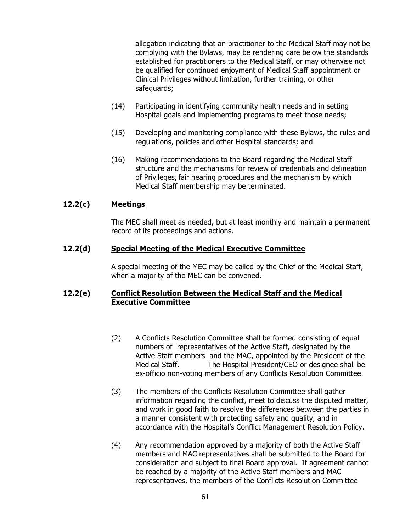allegation indicating that an practitioner to the Medical Staff may not be complying with the Bylaws, may be rendering care below the standards established for practitioners to the Medical Staff, or may otherwise not be qualified for continued enjoyment of Medical Staff appointment or Clinical Privileges without limitation, further training, or other safeguards;

- (14) Participating in identifying community health needs and in setting Hospital goals and implementing programs to meet those needs;
- (15) Developing and monitoring compliance with these Bylaws, the rules and regulations, policies and other Hospital standards; and
- (16) Making recommendations to the Board regarding the Medical Staff structure and the mechanisms for review of credentials and delineation of Privileges, fair hearing procedures and the mechanism by which Medical Staff membership may be terminated.

### **12.2(c) Meetings**

The MEC shall meet as needed, but at least monthly and maintain a permanent record of its proceedings and actions.

### **12.2(d) Special Meeting of the Medical Executive Committee**

A special meeting of the MEC may be called by the Chief of the Medical Staff, when a majority of the MEC can be convened.

### **12.2(e) Conflict Resolution Between the Medical Staff and the Medical Executive Committee**

- (2) A Conflicts Resolution Committee shall be formed consisting of equal numbers of representatives of the Active Staff, designated by the Active Staff members and the MAC, appointed by the President of the Medical Staff. The Hospital President/CEO or designee shall be ex-officio non-voting members of any Conflicts Resolution Committee.
- (3) The members of the Conflicts Resolution Committee shall gather information regarding the conflict, meet to discuss the disputed matter, and work in good faith to resolve the differences between the parties in a manner consistent with protecting safety and quality, and in accordance with the Hospital's Conflict Management Resolution Policy.
- (4) Any recommendation approved by a majority of both the Active Staff members and MAC representatives shall be submitted to the Board for consideration and subject to final Board approval. If agreement cannot be reached by a majority of the Active Staff members and MAC representatives, the members of the Conflicts Resolution Committee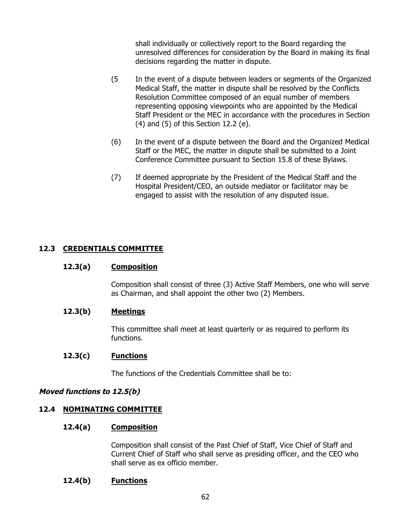shall individually or collectively report to the Board regarding the unresolved differences for consideration by the Board in making its final decisions regarding the matter in dispute.

- (5 In the event of a dispute between leaders or segments of the Organized Medical Staff, the matter in dispute shall be resolved by the Conflicts Resolution Committee composed of an equal number of members representing opposing viewpoints who are appointed by the Medical Staff President or the MEC in accordance with the procedures in Section (4) and (5) of this Section 12.2 (e).
- (6) In the event of a dispute between the Board and the Organized Medical Staff or the MEC, the matter in dispute shall be submitted to a Joint Conference Committee pursuant to Section 15.8 of these Bylaws.
- (7) If deemed appropriate by the President of the Medical Staff and the Hospital President/CEO, an outside mediator or facilitator may be engaged to assist with the resolution of any disputed issue.

# **12.3 CREDENTIALS COMMITTEE**

### **12.3(a) Composition**

Composition shall consist of three (3) Active Staff Members, one who will serve as Chairman, and shall appoint the other two (2) Members.

### **12.3(b) Meetings**

This committee shall meet at least quarterly or as required to perform its functions.

#### **12.3(c) Functions**

The functions of the Credentials Committee shall be to:

### **Moved functions to 12.5(b)**

### **12.4 NOMINATING COMMITTEE**

#### **12.4(a) Composition**

Composition shall consist of the Past Chief of Staff, Vice Chief of Staff and Current Chief of Staff who shall serve as presiding officer, and the CEO who shall serve as ex officio member.

### **12.4(b) Functions**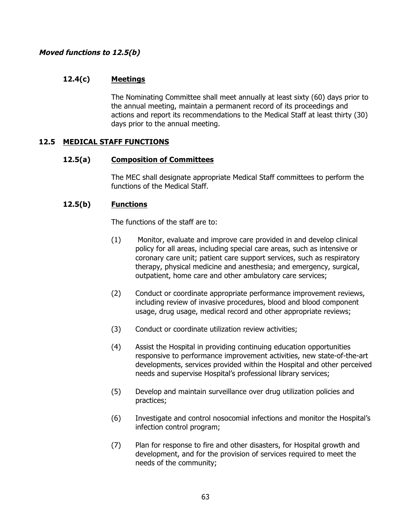### **Moved functions to 12.5(b)**

# **12.4(c) Meetings**

The Nominating Committee shall meet annually at least sixty (60) days prior to the annual meeting, maintain a permanent record of its proceedings and actions and report its recommendations to the Medical Staff at least thirty (30) days prior to the annual meeting.

### **12.5 MEDICAL STAFF FUNCTIONS**

### **12.5(a) Composition of Committees**

The MEC shall designate appropriate Medical Staff committees to perform the functions of the Medical Staff.

### **12.5(b) Functions**

The functions of the staff are to:

- (1) Monitor, evaluate and improve care provided in and develop clinical policy for all areas, including special care areas, such as intensive or coronary care unit; patient care support services, such as respiratory therapy, physical medicine and anesthesia; and emergency, surgical, outpatient, home care and other ambulatory care services;
- (2) Conduct or coordinate appropriate performance improvement reviews, including review of invasive procedures, blood and blood component usage, drug usage, medical record and other appropriate reviews;
- (3) Conduct or coordinate utilization review activities;
- (4) Assist the Hospital in providing continuing education opportunities responsive to performance improvement activities, new state-of-the-art developments, services provided within the Hospital and other perceived needs and supervise Hospital's professional library services;
- (5) Develop and maintain surveillance over drug utilization policies and practices;
- (6) Investigate and control nosocomial infections and monitor the Hospital's infection control program;
- (7) Plan for response to fire and other disasters, for Hospital growth and development, and for the provision of services required to meet the needs of the community;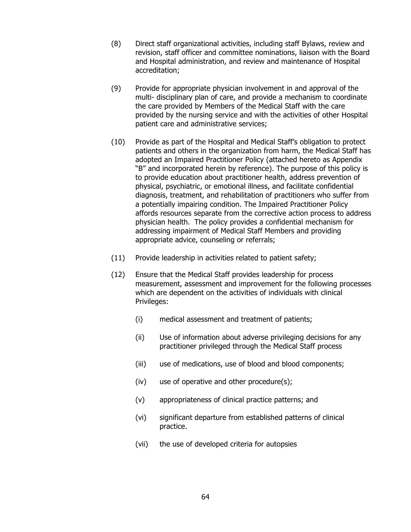- (8) Direct staff organizational activities, including staff Bylaws, review and revision, staff officer and committee nominations, liaison with the Board and Hospital administration, and review and maintenance of Hospital accreditation;
- (9) Provide for appropriate physician involvement in and approval of the multi- disciplinary plan of care, and provide a mechanism to coordinate the care provided by Members of the Medical Staff with the care provided by the nursing service and with the activities of other Hospital patient care and administrative services;
- (10) Provide as part of the Hospital and Medical Staff's obligation to protect patients and others in the organization from harm, the Medical Staff has adopted an Impaired Practitioner Policy (attached hereto as Appendix "B" and incorporated herein by reference). The purpose of this policy is to provide education about practitioner health, address prevention of physical, psychiatric, or emotional illness, and facilitate confidential diagnosis, treatment, and rehabilitation of practitioners who suffer from a potentially impairing condition. The Impaired Practitioner Policy affords resources separate from the corrective action process to address physician health. The policy provides a confidential mechanism for addressing impairment of Medical Staff Members and providing appropriate advice, counseling or referrals;
- (11) Provide leadership in activities related to patient safety;
- (12) Ensure that the Medical Staff provides leadership for process measurement, assessment and improvement for the following processes which are dependent on the activities of individuals with clinical Privileges:
	- (i) medical assessment and treatment of patients;
	- (ii) Use of information about adverse privileging decisions for any practitioner privileged through the Medical Staff process
	- (iii) use of medications, use of blood and blood components;
	- (iv) use of operative and other procedure(s);
	- (v) appropriateness of clinical practice patterns; and
	- (vi) significant departure from established patterns of clinical practice.
	- (vii) the use of developed criteria for autopsies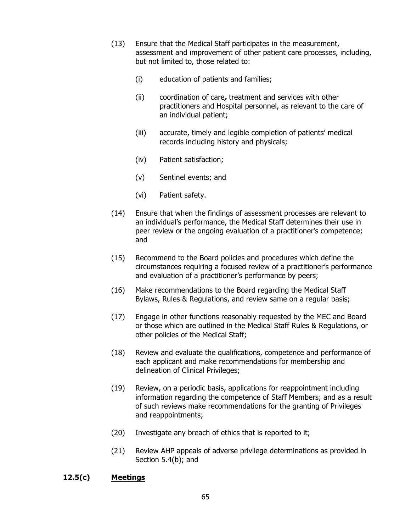- (13) Ensure that the Medical Staff participates in the measurement, assessment and improvement of other patient care processes, including, but not limited to, those related to:
	- (i) education of patients and families;
	- (ii) coordination of care**,** treatment and services with other practitioners and Hospital personnel, as relevant to the care of an individual patient;
	- (iii) accurate, timely and legible completion of patients' medical records including history and physicals;
	- (iv) Patient satisfaction;
	- (v) Sentinel events; and
	- (vi) Patient safety.
- (14) Ensure that when the findings of assessment processes are relevant to an individual's performance, the Medical Staff determines their use in peer review or the ongoing evaluation of a practitioner's competence; and
- (15) Recommend to the Board policies and procedures which define the circumstances requiring a focused review of a practitioner's performance and evaluation of a practitioner's performance by peers;
- (16) Make recommendations to the Board regarding the Medical Staff Bylaws, Rules & Regulations, and review same on a regular basis;
- (17) Engage in other functions reasonably requested by the MEC and Board or those which are outlined in the Medical Staff Rules & Regulations, or other policies of the Medical Staff;
- (18) Review and evaluate the qualifications, competence and performance of each applicant and make recommendations for membership and delineation of Clinical Privileges;
- (19) Review, on a periodic basis, applications for reappointment including information regarding the competence of Staff Members; and as a result of such reviews make recommendations for the granting of Privileges and reappointments;
- (20) Investigate any breach of ethics that is reported to it;
- (21) Review AHP appeals of adverse privilege determinations as provided in Section 5.4(b); and

### **12.5(c) Meetings**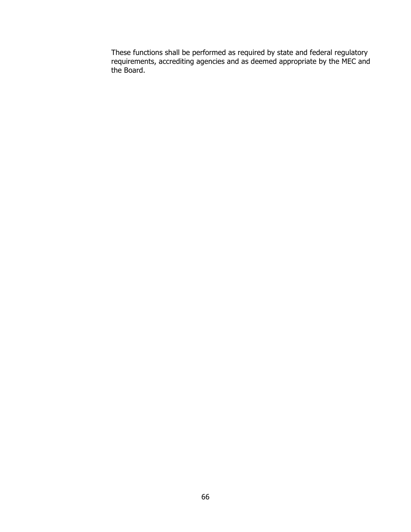These functions shall be performed as required by state and federal regulatory requirements, accrediting agencies and as deemed appropriate by the MEC and the Board.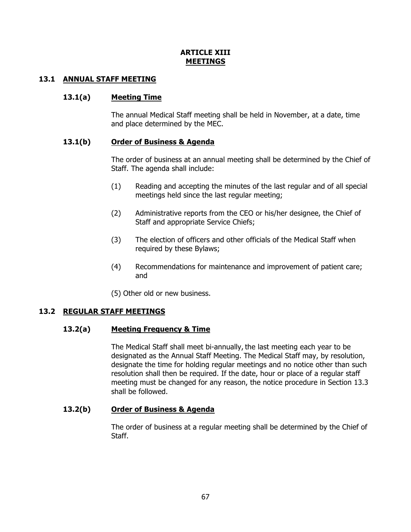# **ARTICLE XIII MEETINGS**

## **13.1 ANNUAL STAFF MEETING**

### **13.1(a) Meeting Time**

The annual Medical Staff meeting shall be held in November, at a date, time and place determined by the MEC.

### **13.1(b) Order of Business & Agenda**

The order of business at an annual meeting shall be determined by the Chief of Staff. The agenda shall include:

- (1) Reading and accepting the minutes of the last regular and of all special meetings held since the last regular meeting;
- (2) Administrative reports from the CEO or his/her designee, the Chief of Staff and appropriate Service Chiefs;
- (3) The election of officers and other officials of the Medical Staff when required by these Bylaws;
- (4) Recommendations for maintenance and improvement of patient care; and

(5) Other old or new business.

### **13.2 REGULAR STAFF MEETINGS**

### **13.2(a) Meeting Frequency & Time**

The Medical Staff shall meet bi-annually, the last meeting each year to be designated as the Annual Staff Meeting. The Medical Staff may, by resolution, designate the time for holding regular meetings and no notice other than such resolution shall then be required. If the date, hour or place of a regular staff meeting must be changed for any reason, the notice procedure in Section 13.3 shall be followed.

### **13.2(b) Order of Business & Agenda**

The order of business at a regular meeting shall be determined by the Chief of Staff.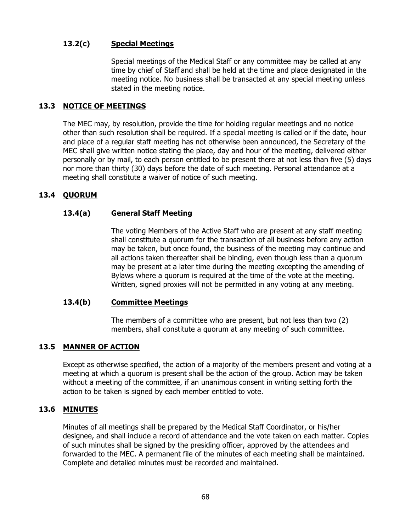## **13.2(c) Special Meetings**

Special meetings of the Medical Staff or any committee may be called at any time by chief of Staff and shall be held at the time and place designated in the meeting notice. No business shall be transacted at any special meeting unless stated in the meeting notice.

### **13.3 NOTICE OF MEETINGS**

The MEC may, by resolution, provide the time for holding regular meetings and no notice other than such resolution shall be required. If a special meeting is called or if the date, hour and place of a regular staff meeting has not otherwise been announced, the Secretary of the MEC shall give written notice stating the place, day and hour of the meeting, delivered either personally or by mail, to each person entitled to be present there at not less than five (5) days nor more than thirty (30) days before the date of such meeting. Personal attendance at a meeting shall constitute a waiver of notice of such meeting.

# **13.4 QUORUM**

# **13.4(a) General Staff Meeting**

The voting Members of the Active Staff who are present at any staff meeting shall constitute a quorum for the transaction of all business before any action may be taken, but once found, the business of the meeting may continue and all actions taken thereafter shall be binding, even though less than a quorum may be present at a later time during the meeting excepting the amending of Bylaws where a quorum is required at the time of the vote at the meeting. Written, signed proxies will not be permitted in any voting at any meeting.

### **13.4(b) Committee Meetings**

The members of a committee who are present, but not less than two (2) members, shall constitute a quorum at any meeting of such committee.

# **13.5 MANNER OF ACTION**

Except as otherwise specified, the action of a majority of the members present and voting at a meeting at which a quorum is present shall be the action of the group. Action may be taken without a meeting of the committee, if an unanimous consent in writing setting forth the action to be taken is signed by each member entitled to vote.

### **13.6 MINUTES**

Minutes of all meetings shall be prepared by the Medical Staff Coordinator, or his/her designee, and shall include a record of attendance and the vote taken on each matter. Copies of such minutes shall be signed by the presiding officer, approved by the attendees and forwarded to the MEC. A permanent file of the minutes of each meeting shall be maintained. Complete and detailed minutes must be recorded and maintained.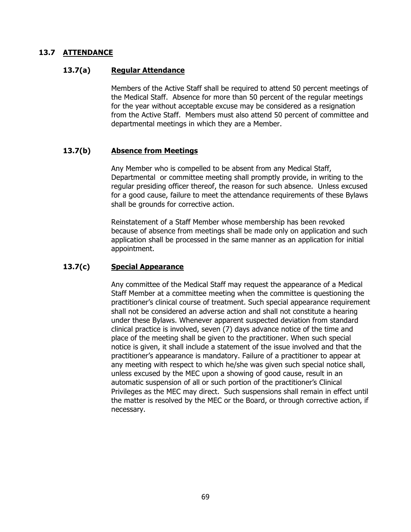### **13.7 ATTENDANCE**

### **13.7(a) Regular Attendance**

Members of the Active Staff shall be required to attend 50 percent meetings of the Medical Staff. Absence for more than 50 percent of the regular meetings for the year without acceptable excuse may be considered as a resignation from the Active Staff. Members must also attend 50 percent of committee and departmental meetings in which they are a Member.

### **13.7(b) Absence from Meetings**

Any Member who is compelled to be absent from any Medical Staff, Departmental or committee meeting shall promptly provide, in writing to the regular presiding officer thereof, the reason for such absence. Unless excused for a good cause, failure to meet the attendance requirements of these Bylaws shall be grounds for corrective action.

Reinstatement of a Staff Member whose membership has been revoked because of absence from meetings shall be made only on application and such application shall be processed in the same manner as an application for initial appointment.

### **13.7(c) Special Appearance**

Any committee of the Medical Staff may request the appearance of a Medical Staff Member at a committee meeting when the committee is questioning the practitioner's clinical course of treatment. Such special appearance requirement shall not be considered an adverse action and shall not constitute a hearing under these Bylaws. Whenever apparent suspected deviation from standard clinical practice is involved, seven (7) days advance notice of the time and place of the meeting shall be given to the practitioner. When such special notice is given, it shall include a statement of the issue involved and that the practitioner's appearance is mandatory. Failure of a practitioner to appear at any meeting with respect to which he/she was given such special notice shall, unless excused by the MEC upon a showing of good cause, result in an automatic suspension of all or such portion of the practitioner's Clinical Privileges as the MEC may direct. Such suspensions shall remain in effect until the matter is resolved by the MEC or the Board, or through corrective action, if necessary.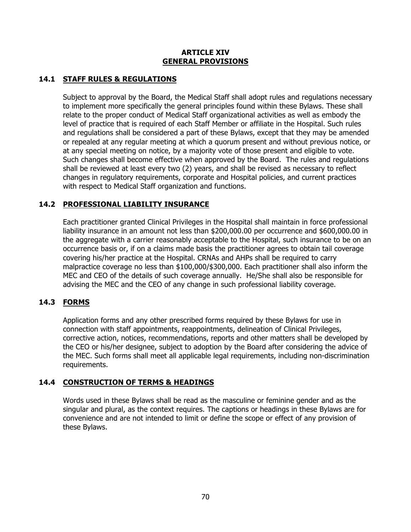### **ARTICLE XIV GENERAL PROVISIONS**

# **14.1 STAFF RULES & REGULATIONS**

Subject to approval by the Board, the Medical Staff shall adopt rules and regulations necessary to implement more specifically the general principles found within these Bylaws. These shall relate to the proper conduct of Medical Staff organizational activities as well as embody the level of practice that is required of each Staff Member or affiliate in the Hospital. Such rules and regulations shall be considered a part of these Bylaws, except that they may be amended or repealed at any regular meeting at which a quorum present and without previous notice, or at any special meeting on notice, by a majority vote of those present and eligible to vote. Such changes shall become effective when approved by the Board. The rules and regulations shall be reviewed at least every two (2) years, and shall be revised as necessary to reflect changes in regulatory requirements, corporate and Hospital policies, and current practices with respect to Medical Staff organization and functions.

# **14.2 PROFESSIONAL LIABILITY INSURANCE**

Each practitioner granted Clinical Privileges in the Hospital shall maintain in force professional liability insurance in an amount not less than \$200,000.00 per occurrence and \$600,000.00 in the aggregate with a carrier reasonably acceptable to the Hospital, such insurance to be on an occurrence basis or, if on a claims made basis the practitioner agrees to obtain tail coverage covering his/her practice at the Hospital. CRNAs and AHPs shall be required to carry malpractice coverage no less than \$100,000/\$300,000. Each practitioner shall also inform the MEC and CEO of the details of such coverage annually. He/She shall also be responsible for advising the MEC and the CEO of any change in such professional liability coverage.

# **14.3 FORMS**

Application forms and any other prescribed forms required by these Bylaws for use in connection with staff appointments, reappointments, delineation of Clinical Privileges, corrective action, notices, recommendations, reports and other matters shall be developed by the CEO or his/her designee, subject to adoption by the Board after considering the advice of the MEC. Such forms shall meet all applicable legal requirements, including non-discrimination requirements.

# **14.4 CONSTRUCTION OF TERMS & HEADINGS**

Words used in these Bylaws shall be read as the masculine or feminine gender and as the singular and plural, as the context requires. The captions or headings in these Bylaws are for convenience and are not intended to limit or define the scope or effect of any provision of these Bylaws.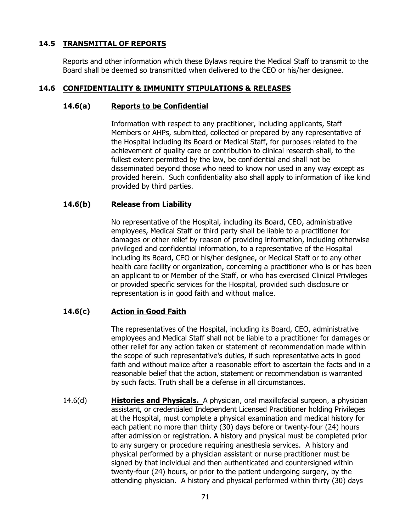## **14.5 TRANSMITTAL OF REPORTS**

Reports and other information which these Bylaws require the Medical Staff to transmit to the Board shall be deemed so transmitted when delivered to the CEO or his/her designee.

# **14.6 CONFIDENTIALITY & IMMUNITY STIPULATIONS & RELEASES**

#### **14.6(a) Reports to be Confidential**

Information with respect to any practitioner, including applicants, Staff Members or AHPs, submitted, collected or prepared by any representative of the Hospital including its Board or Medical Staff, for purposes related to the achievement of quality care or contribution to clinical research shall, to the fullest extent permitted by the law, be confidential and shall not be disseminated beyond those who need to know nor used in any way except as provided herein. Such confidentiality also shall apply to information of like kind provided by third parties.

### **14.6(b) Release from Liability**

No representative of the Hospital, including its Board, CEO, administrative employees, Medical Staff or third party shall be liable to a practitioner for damages or other relief by reason of providing information, including otherwise privileged and confidential information, to a representative of the Hospital including its Board, CEO or his/her designee, or Medical Staff or to any other health care facility or organization, concerning a practitioner who is or has been an applicant to or Member of the Staff, or who has exercised Clinical Privileges or provided specific services for the Hospital, provided such disclosure or representation is in good faith and without malice.

### **14.6(c) Action in Good Faith**

The representatives of the Hospital, including its Board, CEO, administrative employees and Medical Staff shall not be liable to a practitioner for damages or other relief for any action taken or statement of recommendation made within the scope of such representative's duties, if such representative acts in good faith and without malice after a reasonable effort to ascertain the facts and in a reasonable belief that the action, statement or recommendation is warranted by such facts. Truth shall be a defense in all circumstances.

14.6(d) **Histories and Physicals.** A physician, oral maxillofacial surgeon, a physician assistant, or credentialed Independent Licensed Practitioner holding Privileges at the Hospital, must complete a physical examination and medical history for each patient no more than thirty (30) days before or twenty-four (24) hours after admission or registration. A history and physical must be completed prior to any surgery or procedure requiring anesthesia services. A history and physical performed by a physician assistant or nurse practitioner must be signed by that individual and then authenticated and countersigned within twenty-four (24) hours, or prior to the patient undergoing surgery, by the attending physician. A history and physical performed within thirty (30) days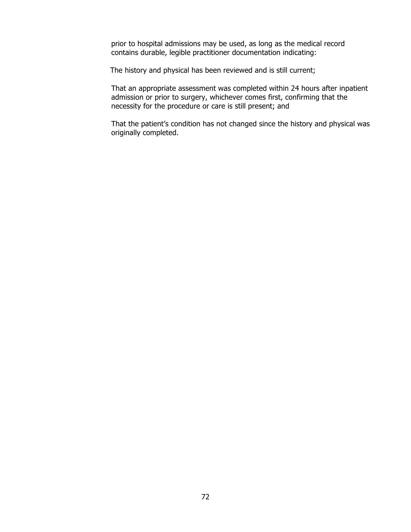prior to hospital admissions may be used, as long as the medical record contains durable, legible practitioner documentation indicating:

The history and physical has been reviewed and is still current;

That an appropriate assessment was completed within 24 hours after inpatient admission or prior to surgery, whichever comes first, confirming that the necessity for the procedure or care is still present; and

That the patient's condition has not changed since the history and physical was originally completed.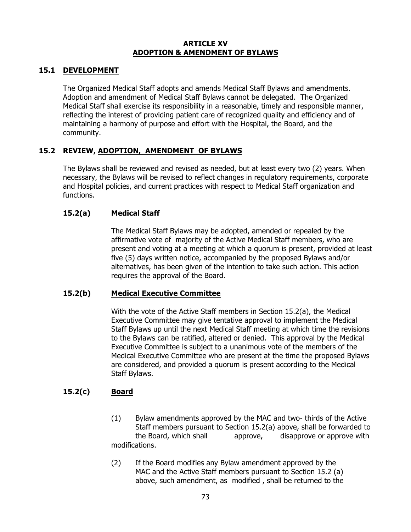#### **ARTICLE XV ADOPTION & AMENDMENT OF BYLAWS**

## **15.1 DEVELOPMENT**

The Organized Medical Staff adopts and amends Medical Staff Bylaws and amendments. Adoption and amendment of Medical Staff Bylaws cannot be delegated. The Organized Medical Staff shall exercise its responsibility in a reasonable, timely and responsible manner, reflecting the interest of providing patient care of recognized quality and efficiency and of maintaining a harmony of purpose and effort with the Hospital, the Board, and the community.

## **15.2 REVIEW, ADOPTION, AMENDMENT OF BYLAWS**

The Bylaws shall be reviewed and revised as needed, but at least every two (2) years. When necessary, the Bylaws will be revised to reflect changes in regulatory requirements, corporate and Hospital policies, and current practices with respect to Medical Staff organization and functions.

## **15.2(a) Medical Staff**

The Medical Staff Bylaws may be adopted, amended or repealed by the affirmative vote of majority of the Active Medical Staff members, who are present and voting at a meeting at which a quorum is present, provided at least five (5) days written notice, accompanied by the proposed Bylaws and/or alternatives, has been given of the intention to take such action. This action requires the approval of the Board.

#### **15.2(b) Medical Executive Committee**

With the vote of the Active Staff members in Section 15.2(a), the Medical Executive Committee may give tentative approval to implement the Medical Staff Bylaws up until the next Medical Staff meeting at which time the revisions to the Bylaws can be ratified, altered or denied. This approval by the Medical Executive Committee is subject to a unanimous vote of the members of the Medical Executive Committee who are present at the time the proposed Bylaws are considered, and provided a quorum is present according to the Medical Staff Bylaws.

## **15.2(c) Board**

- (1) Bylaw amendments approved by the MAC and two- thirds of the Active Staff members pursuant to Section 15.2(a) above, shall be forwarded to the Board, which shall approve, disapprove or approve with modifications.
- (2) If the Board modifies any Bylaw amendment approved by the MAC and the Active Staff members pursuant to Section 15.2 (a) above, such amendment, as modified , shall be returned to the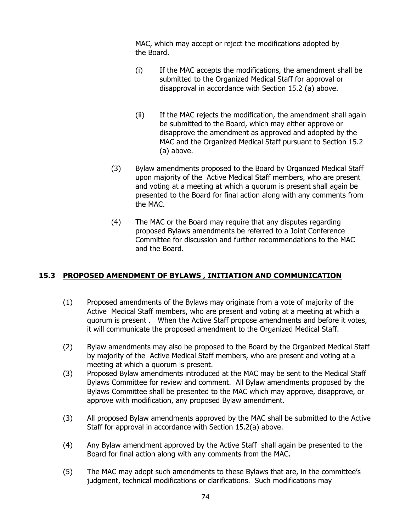MAC, which may accept or reject the modifications adopted by the Board.

- (i) If the MAC accepts the modifications, the amendment shall be submitted to the Organized Medical Staff for approval or disapproval in accordance with Section 15.2 (a) above.
- (ii) If the MAC rejects the modification, the amendment shall again be submitted to the Board, which may either approve or disapprove the amendment as approved and adopted by the MAC and the Organized Medical Staff pursuant to Section 15.2 (a) above.
- (3) Bylaw amendments proposed to the Board by Organized Medical Staff upon majority of the Active Medical Staff members, who are present and voting at a meeting at which a quorum is present shall again be presented to the Board for final action along with any comments from the MAC.
- (4) The MAC or the Board may require that any disputes regarding proposed Bylaws amendments be referred to a Joint Conference Committee for discussion and further recommendations to the MAC and the Board.

## **15.3 PROPOSED AMENDMENT OF BYLAWS , INITIATION AND COMMUNICATION**

- (1) Proposed amendments of the Bylaws may originate from a vote of majority of the Active Medical Staff members, who are present and voting at a meeting at which a quorum is present . When the Active Staff propose amendments and before it votes, it will communicate the proposed amendment to the Organized Medical Staff.
- (2) Bylaw amendments may also be proposed to the Board by the Organized Medical Staff by majority of the Active Medical Staff members, who are present and voting at a meeting at which a quorum is present.
- (3) Proposed Bylaw amendments introduced at the MAC may be sent to the Medical Staff Bylaws Committee for review and comment. All Bylaw amendments proposed by the Bylaws Committee shall be presented to the MAC which may approve, disapprove, or approve with modification, any proposed Bylaw amendment.
- (3) All proposed Bylaw amendments approved by the MAC shall be submitted to the Active Staff for approval in accordance with Section 15.2(a) above.
- (4) Any Bylaw amendment approved by the Active Staff shall again be presented to the Board for final action along with any comments from the MAC.
- (5) The MAC may adopt such amendments to these Bylaws that are, in the committee's judgment, technical modifications or clarifications. Such modifications may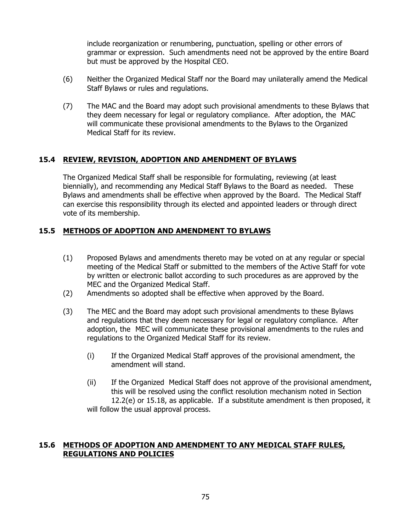include reorganization or renumbering, punctuation, spelling or other errors of grammar or expression. Such amendments need not be approved by the entire Board but must be approved by the Hospital CEO.

- (6) Neither the Organized Medical Staff nor the Board may unilaterally amend the Medical Staff Bylaws or rules and regulations.
- (7) The MAC and the Board may adopt such provisional amendments to these Bylaws that they deem necessary for legal or regulatory compliance. After adoption, the MAC will communicate these provisional amendments to the Bylaws to the Organized Medical Staff for its review.

## **15.4 REVIEW, REVISION, ADOPTION AND AMENDMENT OF BYLAWS**

The Organized Medical Staff shall be responsible for formulating, reviewing (at least biennially), and recommending any Medical Staff Bylaws to the Board as needed. These Bylaws and amendments shall be effective when approved by the Board. The Medical Staff can exercise this responsibility through its elected and appointed leaders or through direct vote of its membership.

## **15.5 METHODS OF ADOPTION AND AMENDMENT TO BYLAWS**

- (1) Proposed Bylaws and amendments thereto may be voted on at any regular or special meeting of the Medical Staff or submitted to the members of the Active Staff for vote by written or electronic ballot according to such procedures as are approved by the MEC and the Organized Medical Staff.
- (2) Amendments so adopted shall be effective when approved by the Board.
- (3) The MEC and the Board may adopt such provisional amendments to these Bylaws and regulations that they deem necessary for legal or regulatory compliance. After adoption, the MEC will communicate these provisional amendments to the rules and regulations to the Organized Medical Staff for its review.
	- (i) If the Organized Medical Staff approves of the provisional amendment, the amendment will stand.
	- (ii) If the Organized Medical Staff does not approve of the provisional amendment, this will be resolved using the conflict resolution mechanism noted in Section 12.2(e) or 15.18, as applicable. If a substitute amendment is then proposed, it

will follow the usual approval process.

#### **15.6 METHODS OF ADOPTION AND AMENDMENT TO ANY MEDICAL STAFF RULES, REGULATIONS AND POLICIES**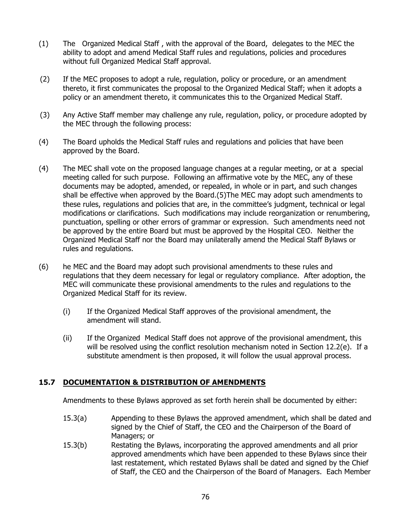- (1) The Organized Medical Staff , with the approval of the Board, delegates to the MEC the ability to adopt and amend Medical Staff rules and regulations, policies and procedures without full Organized Medical Staff approval.
- (2) If the MEC proposes to adopt a rule, regulation, policy or procedure, or an amendment thereto, it first communicates the proposal to the Organized Medical Staff; when it adopts a policy or an amendment thereto, it communicates this to the Organized Medical Staff.
- (3) Any Active Staff member may challenge any rule, regulation, policy, or procedure adopted by the MEC through the following process:
- (4) The Board upholds the Medical Staff rules and regulations and policies that have been approved by the Board.
- (4) The MEC shall vote on the proposed language changes at a regular meeting, or at a special meeting called for such purpose. Following an affirmative vote by the MEC, any of these documents may be adopted, amended, or repealed, in whole or in part, and such changes shall be effective when approved by the Board.(5)The MEC may adopt such amendments to these rules, regulations and policies that are, in the committee's judgment, technical or legal modifications or clarifications. Such modifications may include reorganization or renumbering, punctuation, spelling or other errors of grammar or expression. Such amendments need not be approved by the entire Board but must be approved by the Hospital CEO. Neither the Organized Medical Staff nor the Board may unilaterally amend the Medical Staff Bylaws or rules and regulations.
- (6) he MEC and the Board may adopt such provisional amendments to these rules and regulations that they deem necessary for legal or regulatory compliance. After adoption, the MEC will communicate these provisional amendments to the rules and regulations to the Organized Medical Staff for its review.
	- (i) If the Organized Medical Staff approves of the provisional amendment, the amendment will stand.
	- (ii) If the Organized Medical Staff does not approve of the provisional amendment, this will be resolved using the conflict resolution mechanism noted in Section 12.2(e). If a substitute amendment is then proposed, it will follow the usual approval process.

#### **15.7 DOCUMENTATION & DISTRIBUTION OF AMENDMENTS**

Amendments to these Bylaws approved as set forth herein shall be documented by either:

- 15.3(a) Appending to these Bylaws the approved amendment, which shall be dated and signed by the Chief of Staff, the CEO and the Chairperson of the Board of Managers; or
- 15.3(b) Restating the Bylaws, incorporating the approved amendments and all prior approved amendments which have been appended to these Bylaws since their last restatement, which restated Bylaws shall be dated and signed by the Chief of Staff, the CEO and the Chairperson of the Board of Managers. Each Member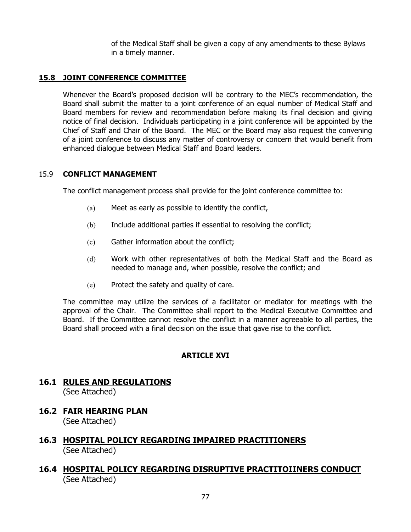of the Medical Staff shall be given a copy of any amendments to these Bylaws in a timely manner.

# **15.8 JOINT CONFERENCE COMMITTEE**

Whenever the Board's proposed decision will be contrary to the MEC's recommendation, the Board shall submit the matter to a joint conference of an equal number of Medical Staff and Board members for review and recommendation before making its final decision and giving notice of final decision. Individuals participating in a joint conference will be appointed by the Chief of Staff and Chair of the Board. The MEC or the Board may also request the convening of a joint conference to discuss any matter of controversy or concern that would benefit from enhanced dialogue between Medical Staff and Board leaders.

## 15.9 **CONFLICT MANAGEMENT**

The conflict management process shall provide for the joint conference committee to:

- (a) Meet as early as possible to identify the conflict,
- (b) Include additional parties if essential to resolving the conflict;
- (c) Gather information about the conflict;
- (d) Work with other representatives of both the Medical Staff and the Board as needed to manage and, when possible, resolve the conflict; and
- (e) Protect the safety and quality of care.

The committee may utilize the services of a facilitator or mediator for meetings with the approval of the Chair. The Committee shall report to the Medical Executive Committee and Board. If the Committee cannot resolve the conflict in a manner agreeable to all parties, the Board shall proceed with a final decision on the issue that gave rise to the conflict.

## **ARTICLE XVI**

# **16.1 RULES AND REGULATIONS** (See Attached)

**16.2 FAIR HEARING PLAN**

(See Attached)

- **16.3 HOSPITAL POLICY REGARDING IMPAIRED PRACTITIONERS** (See Attached)
- **16.4 HOSPITAL POLICY REGARDING DISRUPTIVE PRACTITOIINERS CONDUCT** (See Attached)